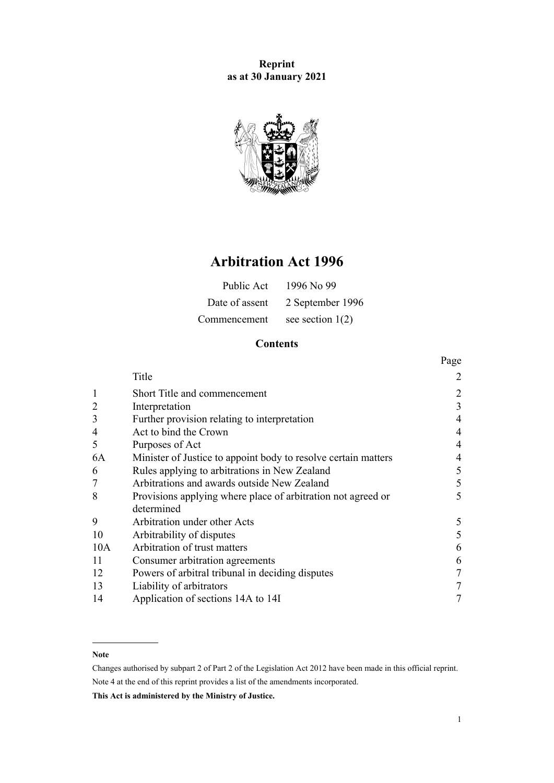**Reprint as at 30 January 2021**



# **Arbitration Act 1996**

| Public Act     | 1996 No 99         |
|----------------|--------------------|
| Date of assent | 2 September 1996   |
| Commencement   | see section $1(2)$ |

# **Contents**

|     |                                                                | Page           |
|-----|----------------------------------------------------------------|----------------|
|     | Title                                                          | 2              |
| 1   | Short Title and commencement                                   | $\overline{2}$ |
|     | Interpretation                                                 | 3              |
| 3   | Further provision relating to interpretation                   | 4              |
| 4   | Act to bind the Crown                                          | 4              |
| 5   | Purposes of Act                                                | 4              |
| 6A  | Minister of Justice to appoint body to resolve certain matters | 4              |
| 6   | Rules applying to arbitrations in New Zealand                  | 5              |
|     | Arbitrations and awards outside New Zealand                    | 5              |
| 8   | Provisions applying where place of arbitration not agreed or   | 5              |
|     | determined                                                     |                |
| 9   | Arbitration under other Acts                                   | 5              |
| 10  | Arbitrability of disputes                                      | 5              |
| 10A | Arbitration of trust matters                                   | 6              |
| 11  | Consumer arbitration agreements                                | 6              |
| 12  | Powers of arbitral tribunal in deciding disputes               | 7              |
| 13  | Liability of arbitrators                                       |                |
| 14  | Application of sections 14A to 14I                             | $\overline{7}$ |

#### **Note**

Changes authorised by [subpart 2](http://legislation.govt.nz/pdflink.aspx?id=DLM2998524) of Part 2 of the Legislation Act 2012 have been made in this official reprint. Note 4 at the end of this reprint provides a list of the amendments incorporated.

**This Act is administered by the Ministry of Justice.**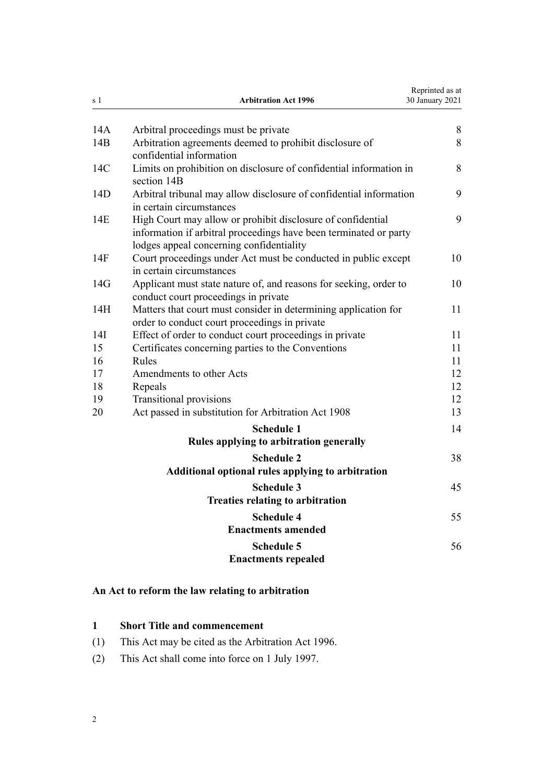<span id="page-1-0"></span>

| s <sub>1</sub> | <b>Arbitration Act 1996</b>                                                                                                                                                  | Reprinted as at<br>30 January 2021 |
|----------------|------------------------------------------------------------------------------------------------------------------------------------------------------------------------------|------------------------------------|
| 14A            | Arbitral proceedings must be private                                                                                                                                         | 8                                  |
| 14B            | Arbitration agreements deemed to prohibit disclosure of<br>confidential information                                                                                          | 8                                  |
| 14C            | Limits on prohibition on disclosure of confidential information in<br>section 14B                                                                                            | 8                                  |
| 14D            | Arbitral tribunal may allow disclosure of confidential information<br>in certain circumstances                                                                               | 9                                  |
| 14E            | High Court may allow or prohibit disclosure of confidential<br>information if arbitral proceedings have been terminated or party<br>lodges appeal concerning confidentiality | 9                                  |
| 14F            | Court proceedings under Act must be conducted in public except<br>in certain circumstances                                                                                   | 10                                 |
| 14G            | Applicant must state nature of, and reasons for seeking, order to<br>conduct court proceedings in private                                                                    | 10                                 |
| 14H            | Matters that court must consider in determining application for<br>order to conduct court proceedings in private                                                             | 11                                 |
| 14I            | Effect of order to conduct court proceedings in private                                                                                                                      | 11                                 |
| 15             | Certificates concerning parties to the Conventions                                                                                                                           | 11                                 |
| 16             | Rules                                                                                                                                                                        | 11                                 |
| 17             | Amendments to other Acts                                                                                                                                                     | 12                                 |
| 18             | Repeals                                                                                                                                                                      | 12                                 |
| 19             | <b>Transitional provisions</b>                                                                                                                                               | 12                                 |
| 20             | Act passed in substitution for Arbitration Act 1908                                                                                                                          | 13                                 |
|                | <b>Schedule 1</b>                                                                                                                                                            | 14                                 |
|                | Rules applying to arbitration generally                                                                                                                                      |                                    |
|                | <b>Schedule 2</b>                                                                                                                                                            | 38                                 |
|                | Additional optional rules applying to arbitration                                                                                                                            |                                    |
|                | <b>Schedule 3</b>                                                                                                                                                            | 45                                 |
|                | <b>Treaties relating to arbitration</b>                                                                                                                                      |                                    |
|                | <b>Schedule 4</b>                                                                                                                                                            | 55                                 |
|                | <b>Enactments amended</b>                                                                                                                                                    |                                    |
|                | <b>Schedule 5</b><br><b>Enactments repealed</b>                                                                                                                              | 56                                 |

# **An Act to reform the law relating to arbitration**

## **1 Short Title and commencement**

(1) This Act may be cited as the Arbitration Act 1996.

(2) This Act shall come into force on 1 July 1997.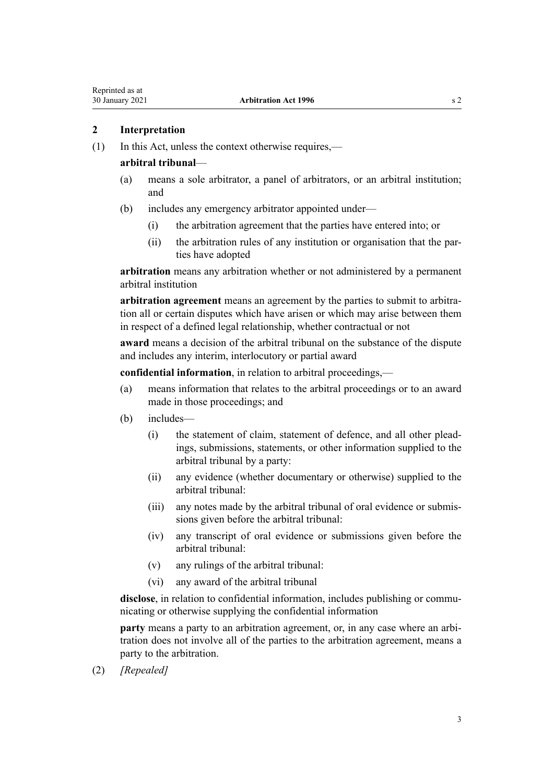#### <span id="page-2-0"></span>**2 Interpretation**

(1) In this Act, unless the context otherwise requires,—

#### **arbitral tribunal**—

- (a) means a sole arbitrator, a panel of arbitrators, or an arbitral institution; and
- (b) includes any emergency arbitrator appointed under—
	- (i) the arbitration agreement that the parties have entered into; or
	- (ii) the arbitration rules of any institution or organisation that the parties have adopted

**arbitration** means any arbitration whether or not administered by a permanent arbitral institution

**arbitration agreement** means an agreement by the parties to submit to arbitration all or certain disputes which have arisen or which may arise between them in respect of a defined legal relationship, whether contractual or not

**award** means a decision of the arbitral tribunal on the substance of the dispute and includes any interim, interlocutory or partial award

**confidential information**, in relation to arbitral proceedings,—

- (a) means information that relates to the arbitral proceedings or to an award made in those proceedings; and
- (b) includes—
	- (i) the statement of claim, statement of defence, and all other pleadings, submissions, statements, or other information supplied to the arbitral tribunal by a party:
	- (ii) any evidence (whether documentary or otherwise) supplied to the arbitral tribunal:
	- (iii) any notes made by the arbitral tribunal of oral evidence or submissions given before the arbitral tribunal:
	- (iv) any transcript of oral evidence or submissions given before the arbitral tribunal:
	- (v) any rulings of the arbitral tribunal:
	- (vi) any award of the arbitral tribunal

**disclose**, in relation to confidential information, includes publishing or communicating or otherwise supplying the confidential information

**party** means a party to an arbitration agreement, or, in any case where an arbitration does not involve all of the parties to the arbitration agreement, means a party to the arbitration.

(2) *[Repealed]*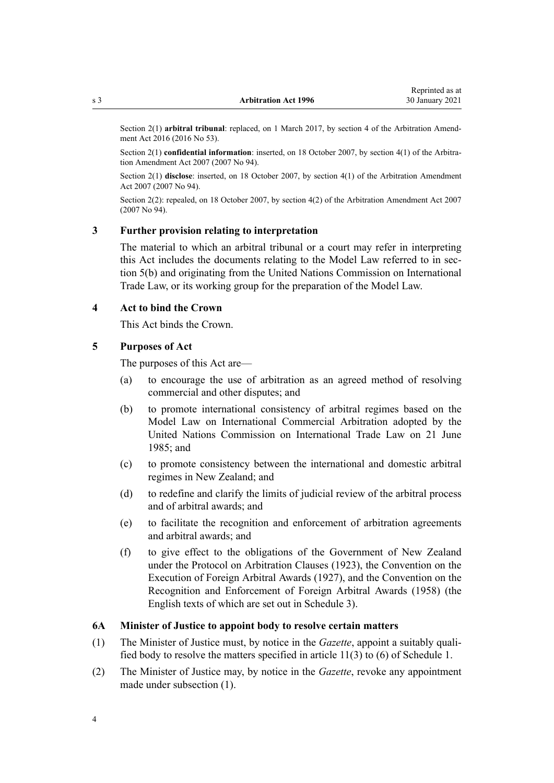Section 2(1) **arbitral tribunal**: replaced, on 1 March 2017, by [section 4](http://legislation.govt.nz/pdflink.aspx?id=DLM6943708) of the Arbitration Amendment Act 2016 (2016 No 53).

Section 2(1) **confidential information**: inserted, on 18 October 2007, by [section 4\(1\)](http://legislation.govt.nz/pdflink.aspx?id=DLM970201) of the Arbitration Amendment Act 2007 (2007 No 94).

Section 2(1) **disclose**: inserted, on 18 October 2007, by [section 4\(1\)](http://legislation.govt.nz/pdflink.aspx?id=DLM970201) of the Arbitration Amendment Act 2007 (2007 No 94).

Section 2(2): repealed, on 18 October 2007, by [section 4\(2\)](http://legislation.govt.nz/pdflink.aspx?id=DLM970201) of the Arbitration Amendment Act 2007 (2007 No 94).

#### **3 Further provision relating to interpretation**

The material to which an arbitral tribunal or a court may refer in interpreting this Act includes the documents relating to the Model Law referred to in section 5(b) and originating from the United Nations Commission on International Trade Law, or its working group for the preparation of the Model Law.

#### **4 Act to bind the Crown**

This Act binds the Crown.

## **5 Purposes of Act**

The purposes of this Act are—

- (a) to encourage the use of arbitration as an agreed method of resolving commercial and other disputes; and
- (b) to promote international consistency of arbitral regimes based on the Model Law on International Commercial Arbitration adopted by the United Nations Commission on International Trade Law on 21 June 1985; and
- (c) to promote consistency between the international and domestic arbitral regimes in New Zealand; and
- (d) to redefine and clarify the limits of judicial review of the arbitral process and of arbitral awards; and
- (e) to facilitate the recognition and enforcement of arbitration agreements and arbitral awards; and
- (f) to give effect to the obligations of the Government of New Zealand under the Protocol on Arbitration Clauses (1923), the Convention on the Execution of Foreign Arbitral Awards (1927), and the Convention on the Recognition and Enforcement of Foreign Arbitral Awards (1958) (the English texts of which are set out in [Schedule 3\)](#page-44-0).

#### **6A Minister of Justice to appoint body to resolve certain matters**

- (1) The Minister of Justice must, by notice in the *Gazette*, appoint a suitably qualified body to resolve the matters specified in [article 11\(3\) to \(6\)](#page-18-0) of Schedule 1.
- (2) The Minister of Justice may, by notice in the *Gazette*, revoke any appointment made under subsection (1).

<span id="page-3-0"></span>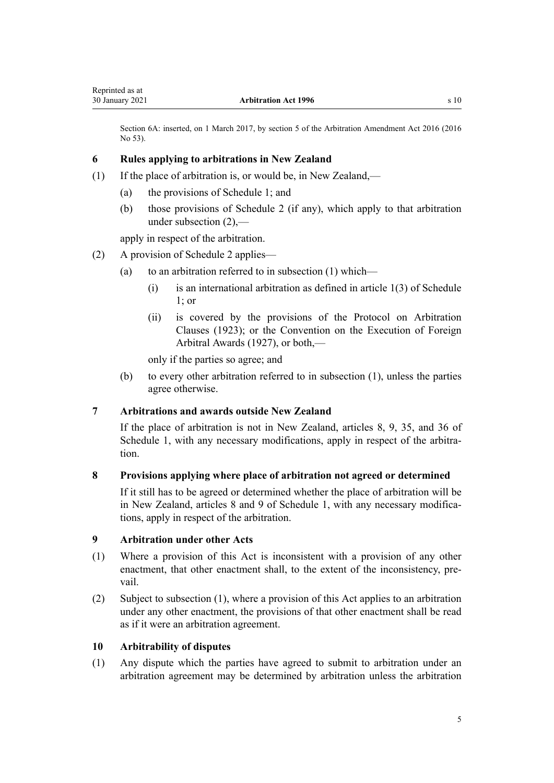<span id="page-4-0"></span>Section 6A: inserted, on 1 March 2017, by [section 5](http://legislation.govt.nz/pdflink.aspx?id=DLM6943712) of the Arbitration Amendment Act 2016 (2016 No 53).

#### **6 Rules applying to arbitrations in New Zealand**

- (1) If the place of arbitration is, or would be, in New Zealand,—
	- (a) the provisions of [Schedule 1](#page-13-0); and
	- (b) those provisions of [Schedule 2](#page-37-0) (if any), which apply to that arbitration under subsection (2),—

apply in respect of the arbitration.

- (2) A provision of [Schedule 2](#page-37-0) applies—
	- (a) to an arbitration referred to in subsection  $(1)$  which—
		- $(i)$  is an international arbitration as defined in article  $1(3)$  of Schedule 1; or
		- (ii) is covered by the provisions of the Protocol on Arbitration Clauses (1923); or the Convention on the Execution of Foreign Arbitral Awards (1927), or both,—

only if the parties so agree; and

(b) to every other arbitration referred to in subsection (1), unless the parties agree otherwise.

## **7 Arbitrations and awards outside New Zealand**

If the place of arbitration is not in New Zealand, [articles 8](#page-17-0), [9](#page-17-0), [35,](#page-34-0) and [36](#page-35-0) of Schedule 1, with any necessary modifications, apply in respect of the arbitration.

#### **8 Provisions applying where place of arbitration not agreed or determined**

If it still has to be agreed or determined whether the place of arbitration will be in New Zealand, [articles 8](#page-17-0) and [9](#page-17-0) of Schedule 1, with any necessary modifications, apply in respect of the arbitration.

#### **9 Arbitration under other Acts**

- (1) Where a provision of this Act is inconsistent with a provision of any other enactment, that other enactment shall, to the extent of the inconsistency, prevail.
- (2) Subject to subsection (1), where a provision of this Act applies to an arbitration under any other enactment, the provisions of that other enactment shall be read as if it were an arbitration agreement.

#### **10 Arbitrability of disputes**

(1) Any dispute which the parties have agreed to submit to arbitration under an arbitration agreement may be determined by arbitration unless the arbitration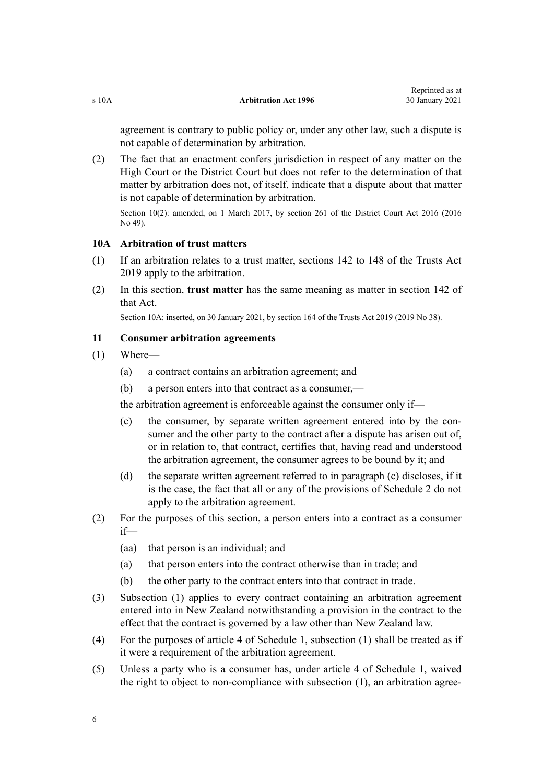<span id="page-5-0"></span>agreement is contrary to public policy or, under any other law, such a dispute is not capable of determination by arbitration.

(2) The fact that an enactment confers jurisdiction in respect of any matter on the High Court or the District Court but does not refer to the determination of that matter by arbitration does not, of itself, indicate that a dispute about that matter is not capable of determination by arbitration.

Section 10(2): amended, on 1 March 2017, by [section 261](http://legislation.govt.nz/pdflink.aspx?id=DLM6942680) of the District Court Act 2016 (2016) No 49).

## **10A Arbitration of trust matters**

- (1) If an arbitration relates to a trust matter, [sections 142 to 148](http://legislation.govt.nz/pdflink.aspx?id=DLM7383075) of the Trusts Act 2019 apply to the arbitration.
- (2) In this section, **trust matter** has the same meaning as matter in [section 142](http://legislation.govt.nz/pdflink.aspx?id=DLM7383075) of that Act.

Section 10A: inserted, on 30 January 2021, by [section 164](http://legislation.govt.nz/pdflink.aspx?id=LMS102074) of the Trusts Act 2019 (2019 No 38).

#### **11 Consumer arbitration agreements**

- (1) Where—
	- (a) a contract contains an arbitration agreement; and
	- (b) a person enters into that contract as a consumer,—

the arbitration agreement is enforceable against the consumer only if—

- (c) the consumer, by separate written agreement entered into by the consumer and the other party to the contract after a dispute has arisen out of, or in relation to, that contract, certifies that, having read and understood the arbitration agreement, the consumer agrees to be bound by it; and
- (d) the separate written agreement referred to in paragraph (c) discloses, if it is the case, the fact that all or any of the provisions of [Schedule 2](#page-37-0) do not apply to the arbitration agreement.
- (2) For the purposes of this section, a person enters into a contract as a consumer if—
	- (aa) that person is an individual; and
	- (a) that person enters into the contract otherwise than in trade; and
	- (b) the other party to the contract enters into that contract in trade.
- (3) Subsection (1) applies to every contract containing an arbitration agreement entered into in New Zealand notwithstanding a provision in the contract to the effect that the contract is governed by a law other than New Zealand law.
- (4) For the purposes of [article 4](#page-16-0) of Schedule 1, subsection (1) shall be treated as if it were a requirement of the arbitration agreement.
- (5) Unless a party who is a consumer has, under [article 4](#page-16-0) of Schedule 1, waived the right to object to non-compliance with subsection (1), an arbitration agree-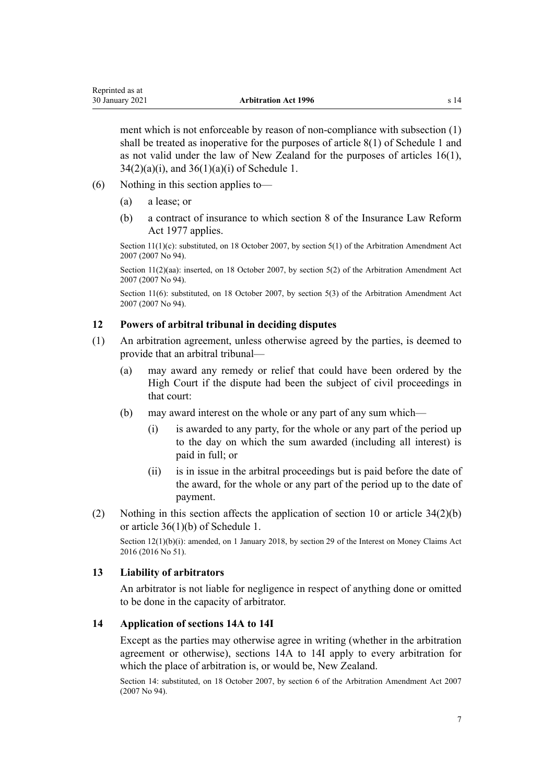<span id="page-6-0"></span>ment which is not enforceable by reason of non-compliance with subsection (1) shall be treated as inoperative for the purposes of [article 8\(1\)](#page-17-0) of Schedule 1 and as not valid under the law of New Zealand for the purposes of [articles 16\(1\)](#page-21-0),  $34(2)(a)(i)$ , and  $36(1)(a)(i)$  of Schedule 1.

- (6) Nothing in this section applies to—
	- (a) a lease; or
	- (b) a contract of insurance to which [section 8](http://legislation.govt.nz/pdflink.aspx?id=DLM442553) of the Insurance Law Reform Act 1977 applies.

Section  $11(1)(c)$ : substituted, on 18 October 2007, by [section 5\(1\)](http://legislation.govt.nz/pdflink.aspx?id=DLM970206) of the Arbitration Amendment Act 2007 (2007 No 94).

Section 11(2)(aa): inserted, on 18 October 2007, by [section 5\(2\)](http://legislation.govt.nz/pdflink.aspx?id=DLM970206) of the Arbitration Amendment Act 2007 (2007 No 94).

Section 11(6): substituted, on 18 October 2007, by [section 5\(3\)](http://legislation.govt.nz/pdflink.aspx?id=DLM970206) of the Arbitration Amendment Act 2007 (2007 No 94).

## **12 Powers of arbitral tribunal in deciding disputes**

- (1) An arbitration agreement, unless otherwise agreed by the parties, is deemed to provide that an arbitral tribunal—
	- (a) may award any remedy or relief that could have been ordered by the High Court if the dispute had been the subject of civil proceedings in that court:
	- (b) may award interest on the whole or any part of any sum which—
		- (i) is awarded to any party, for the whole or any part of the period up to the day on which the sum awarded (including all interest) is paid in full; or
		- (ii) is in issue in the arbitral proceedings but is paid before the date of the award, for the whole or any part of the period up to the date of payment.
- (2) Nothing in this section affects the application of [section 10](#page-4-0) or [article 34\(2\)\(b\)](#page-33-0) or [article 36\(1\)\(b\)](#page-35-0) of Schedule 1.

Section 12(1)(b)(i): amended, on 1 January 2018, by [section 29](http://legislation.govt.nz/pdflink.aspx?id=DLM6943370) of the Interest on Money Claims Act 2016 (2016 No 51).

#### **13 Liability of arbitrators**

An arbitrator is not liable for negligence in respect of anything done or omitted to be done in the capacity of arbitrator.

#### **14 Application of sections 14A to 14I**

Except as the parties may otherwise agree in writing (whether in the arbitration agreement or otherwise), [sections 14A to 14I](#page-7-0) apply to every arbitration for which the place of arbitration is, or would be, New Zealand.

Section 14: substituted, on 18 October 2007, by [section 6](http://legislation.govt.nz/pdflink.aspx?id=DLM970207) of the Arbitration Amendment Act 2007 (2007 No 94).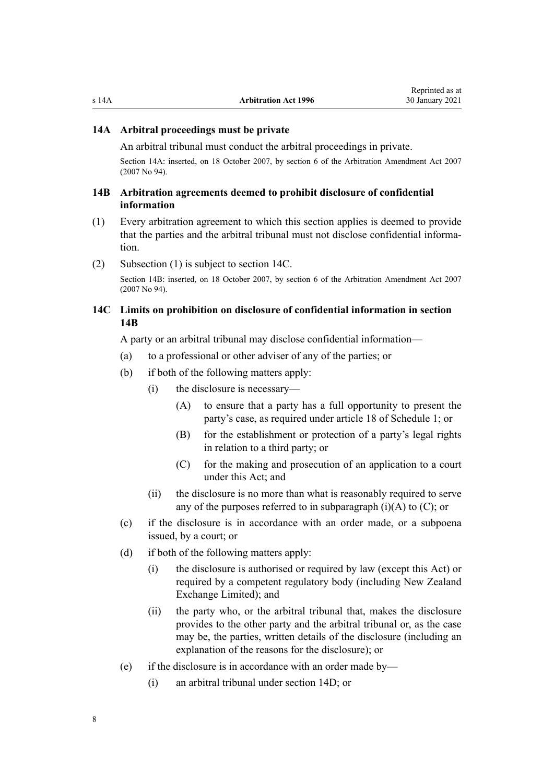#### <span id="page-7-0"></span>**14A Arbitral proceedings must be private**

An arbitral tribunal must conduct the arbitral proceedings in private.

Section 14A: inserted, on 18 October 2007, by [section 6](http://legislation.govt.nz/pdflink.aspx?id=DLM970207) of the Arbitration Amendment Act 2007 (2007 No 94).

#### **14B Arbitration agreements deemed to prohibit disclosure of confidential information**

- (1) Every arbitration agreement to which this section applies is deemed to provide that the parties and the arbitral tribunal must not disclose confidential information.
- (2) Subsection (1) is subject to section 14C.

Section 14B: inserted, on 18 October 2007, by [section 6](http://legislation.govt.nz/pdflink.aspx?id=DLM970207) of the Arbitration Amendment Act 2007 (2007 No 94).

## **14C Limits on prohibition on disclosure of confidential information in section 14B**

A party or an arbitral tribunal may disclose confidential information—

- (a) to a professional or other adviser of any of the parties; or
- (b) if both of the following matters apply:
	- (i) the disclosure is necessary—
		- (A) to ensure that a party has a full opportunity to present the party's case, as required under [article 18](#page-27-0) of Schedule 1; or
		- (B) for the establishment or protection of a party's legal rights in relation to a third party; or
		- (C) for the making and prosecution of an application to a court under this Act; and
	- (ii) the disclosure is no more than what is reasonably required to serve any of the purposes referred to in subparagraph  $(i)(A)$  to  $(C)$ ; or
- (c) if the disclosure is in accordance with an order made, or a subpoena issued, by a court; or
- (d) if both of the following matters apply:
	- (i) the disclosure is authorised or required by law (except this Act) or required by a competent regulatory body (including New Zealand Exchange Limited); and
	- (ii) the party who, or the arbitral tribunal that, makes the disclosure provides to the other party and the arbitral tribunal or, as the case may be, the parties, written details of the disclosure (including an explanation of the reasons for the disclosure); or
- (e) if the disclosure is in accordance with an order made by—
	- (i) an arbitral tribunal under [section 14D;](#page-8-0) or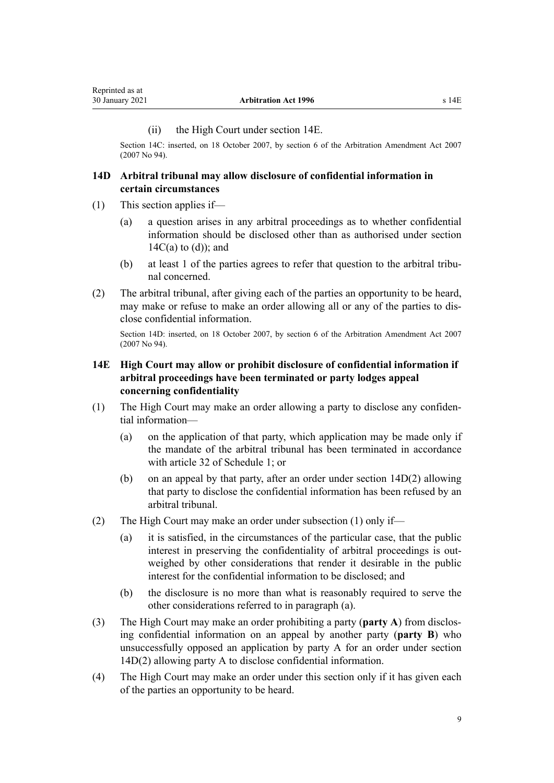#### (ii) the High Court under section 14E.

<span id="page-8-0"></span>Section 14C: inserted, on 18 October 2007, by [section 6](http://legislation.govt.nz/pdflink.aspx?id=DLM970207) of the Arbitration Amendment Act 2007 (2007 No 94).

# **14D Arbitral tribunal may allow disclosure of confidential information in certain circumstances**

- (1) This section applies if—
	- (a) a question arises in any arbitral proceedings as to whether confidential information should be disclosed other than as authorised under [section](#page-7-0)  $14C(a)$  to  $(d)$ ; and
	- (b) at least 1 of the parties agrees to refer that question to the arbitral tribunal concerned.
- (2) The arbitral tribunal, after giving each of the parties an opportunity to be heard, may make or refuse to make an order allowing all or any of the parties to disclose confidential information.

Section 14D: inserted, on 18 October 2007, by [section 6](http://legislation.govt.nz/pdflink.aspx?id=DLM970207) of the Arbitration Amendment Act 2007 (2007 No 94).

# **14E High Court may allow or prohibit disclosure of confidential information if arbitral proceedings have been terminated or party lodges appeal concerning confidentiality**

- (1) The High Court may make an order allowing a party to disclose any confidential information—
	- (a) on the application of that party, which application may be made only if the mandate of the arbitral tribunal has been terminated in accordance with [article 32](#page-32-0) of Schedule 1; or
	- (b) on an appeal by that party, after an order under section 14D(2) allowing that party to disclose the confidential information has been refused by an arbitral tribunal.
- (2) The High Court may make an order under subsection (1) only if—
	- (a) it is satisfied, in the circumstances of the particular case, that the public interest in preserving the confidentiality of arbitral proceedings is outweighed by other considerations that render it desirable in the public interest for the confidential information to be disclosed; and
	- (b) the disclosure is no more than what is reasonably required to serve the other considerations referred to in paragraph (a).
- (3) The High Court may make an order prohibiting a party (**party A**) from disclosing confidential information on an appeal by another party (**party B**) who unsuccessfully opposed an application by party A for an order under section 14D(2) allowing party A to disclose confidential information.
- (4) The High Court may make an order under this section only if it has given each of the parties an opportunity to be heard.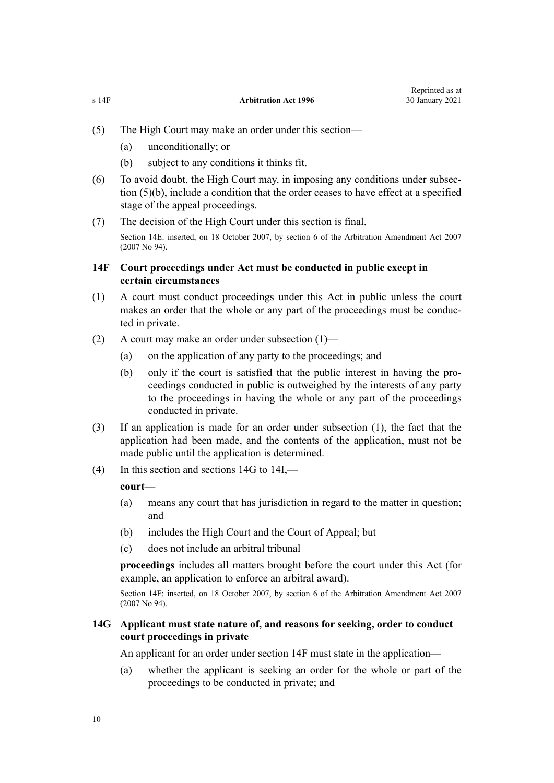- <span id="page-9-0"></span>(5) The High Court may make an order under this section—
	- (a) unconditionally; or
	- (b) subject to any conditions it thinks fit.
- (6) To avoid doubt, the High Court may, in imposing any conditions under subsection (5)(b), include a condition that the order ceases to have effect at a specified stage of the appeal proceedings.
- (7) The decision of the High Court under this section is final.

Section 14E: inserted, on 18 October 2007, by [section 6](http://legislation.govt.nz/pdflink.aspx?id=DLM970207) of the Arbitration Amendment Act 2007 (2007 No 94).

#### **14F Court proceedings under Act must be conducted in public except in certain circumstances**

- (1) A court must conduct proceedings under this Act in public unless the court makes an order that the whole or any part of the proceedings must be conducted in private.
- (2) A court may make an order under subsection (1)—
	- (a) on the application of any party to the proceedings; and
	- (b) only if the court is satisfied that the public interest in having the proceedings conducted in public is outweighed by the interests of any party to the proceedings in having the whole or any part of the proceedings conducted in private.
- (3) If an application is made for an order under subsection (1), the fact that the application had been made, and the contents of the application, must not be made public until the application is determined.
- (4) In this section and sections 14G to 14I,—

#### **court**—

- (a) means any court that has jurisdiction in regard to the matter in question; and
- (b) includes the High Court and the Court of Appeal; but
- (c) does not include an arbitral tribunal

**proceedings** includes all matters brought before the court under this Act (for example, an application to enforce an arbitral award).

Section 14F: inserted, on 18 October 2007, by [section 6](http://legislation.govt.nz/pdflink.aspx?id=DLM970207) of the Arbitration Amendment Act 2007 (2007 No 94).

## **14G Applicant must state nature of, and reasons for seeking, order to conduct court proceedings in private**

An applicant for an order under section 14F must state in the application—

(a) whether the applicant is seeking an order for the whole or part of the proceedings to be conducted in private; and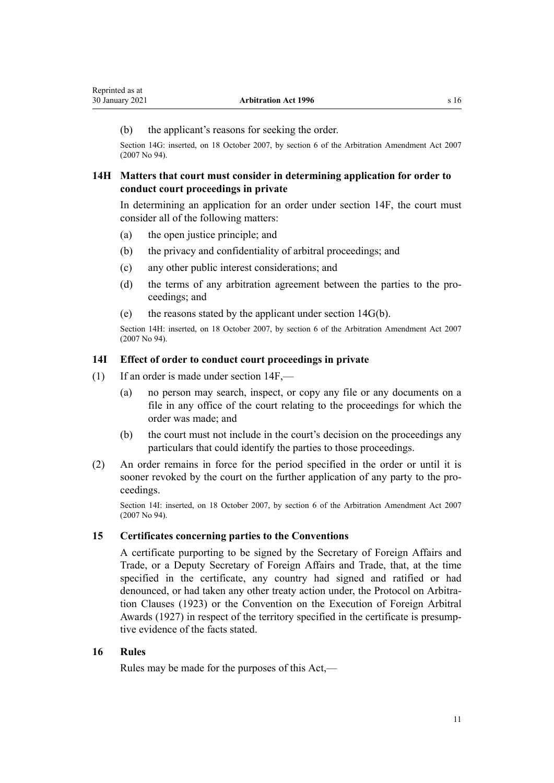<span id="page-10-0"></span>Section 14G: inserted, on 18 October 2007, by [section 6](http://legislation.govt.nz/pdflink.aspx?id=DLM970207) of the Arbitration Amendment Act 2007 (2007 No 94).

## **14H Matters that court must consider in determining application for order to conduct court proceedings in private**

In determining an application for an order under [section 14F](#page-9-0), the court must consider all of the following matters:

- (a) the open justice principle; and
- (b) the privacy and confidentiality of arbitral proceedings; and
- (c) any other public interest considerations; and
- (d) the terms of any arbitration agreement between the parties to the proceedings; and
- (e) the reasons stated by the applicant under section  $14G(b)$ .

Section 14H: inserted, on 18 October 2007, by [section 6](http://legislation.govt.nz/pdflink.aspx?id=DLM970207) of the Arbitration Amendment Act 2007 (2007 No 94).

#### **14I Effect of order to conduct court proceedings in private**

- (1) If an order is made under [section 14F](#page-9-0),—
	- (a) no person may search, inspect, or copy any file or any documents on a file in any office of the court relating to the proceedings for which the order was made; and
	- (b) the court must not include in the court's decision on the proceedings any particulars that could identify the parties to those proceedings.
- (2) An order remains in force for the period specified in the order or until it is sooner revoked by the court on the further application of any party to the proceedings.

Section 14I: inserted, on 18 October 2007, by [section 6](http://legislation.govt.nz/pdflink.aspx?id=DLM970207) of the Arbitration Amendment Act 2007 (2007 No 94).

#### **15 Certificates concerning parties to the Conventions**

A certificate purporting to be signed by the Secretary of Foreign Affairs and Trade, or a Deputy Secretary of Foreign Affairs and Trade, that, at the time specified in the certificate, any country had signed and ratified or had denounced, or had taken any other treaty action under, the Protocol on Arbitration Clauses (1923) or the Convention on the Execution of Foreign Arbitral Awards (1927) in respect of the territory specified in the certificate is presumptive evidence of the facts stated.

#### **16 Rules**

Rules may be made for the purposes of this Act,—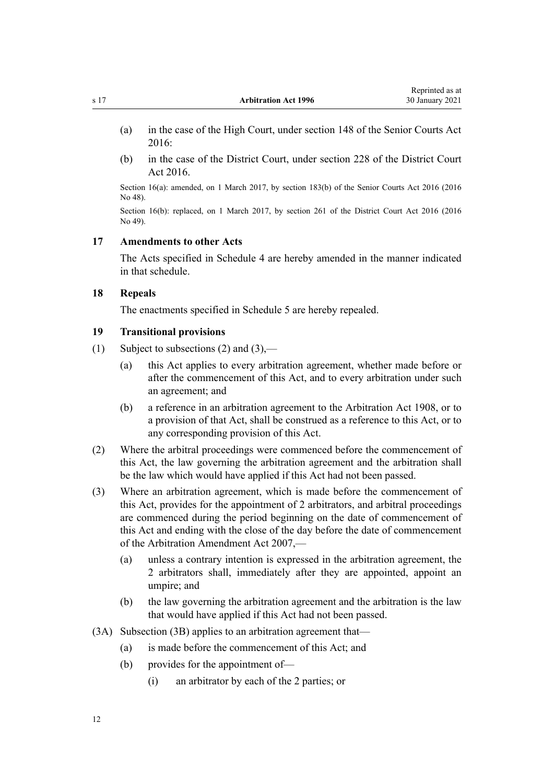- <span id="page-11-0"></span>(a) in the case of the High Court, under [section 148](http://legislation.govt.nz/pdflink.aspx?id=DLM5759504) of the Senior Courts Act 2016:
- (b) in the case of the District Court, under [section 228](http://legislation.govt.nz/pdflink.aspx?id=DLM6942629) of the District Court Act 2016.

Section 16(a): amended, on 1 March 2017, by [section 183\(b\)](http://legislation.govt.nz/pdflink.aspx?id=DLM5759564) of the Senior Courts Act 2016 (2016 No 48).

Section 16(b): replaced, on 1 March 2017, by [section 261](http://legislation.govt.nz/pdflink.aspx?id=DLM6942680) of the District Court Act 2016 (2016) No 49).

## **17 Amendments to other Acts**

The Acts specified in [Schedule 4](#page-54-0) are hereby amended in the manner indicated in that schedule.

#### **18 Repeals**

The enactments specified in [Schedule 5](#page-55-0) are hereby repealed.

#### **19 Transitional provisions**

- (1) Subject to subsections (2) and  $(3)$ ,—
	- (a) this Act applies to every arbitration agreement, whether made before or after the commencement of this Act, and to every arbitration under such an agreement; and
	- (b) a reference in an arbitration agreement to the Arbitration Act 1908, or to a provision of that Act, shall be construed as a reference to this Act, or to any corresponding provision of this Act.
- (2) Where the arbitral proceedings were commenced before the commencement of this Act, the law governing the arbitration agreement and the arbitration shall be the law which would have applied if this Act had not been passed.
- (3) Where an arbitration agreement, which is made before the commencement of this Act, provides for the appointment of 2 arbitrators, and arbitral proceedings are commenced during the period beginning on the date of commencement of this Act and ending with the close of the day before the date of commencement of the [Arbitration Amendment Act 2007,](http://legislation.govt.nz/pdflink.aspx?id=DLM970193)—
	- (a) unless a contrary intention is expressed in the arbitration agreement, the 2 arbitrators shall, immediately after they are appointed, appoint an umpire; and
	- (b) the law governing the arbitration agreement and the arbitration is the law that would have applied if this Act had not been passed.
- (3A) Subsection (3B) applies to an arbitration agreement that—
	- (a) is made before the commencement of this Act; and
	- (b) provides for the appointment of—
		- (i) an arbitrator by each of the 2 parties; or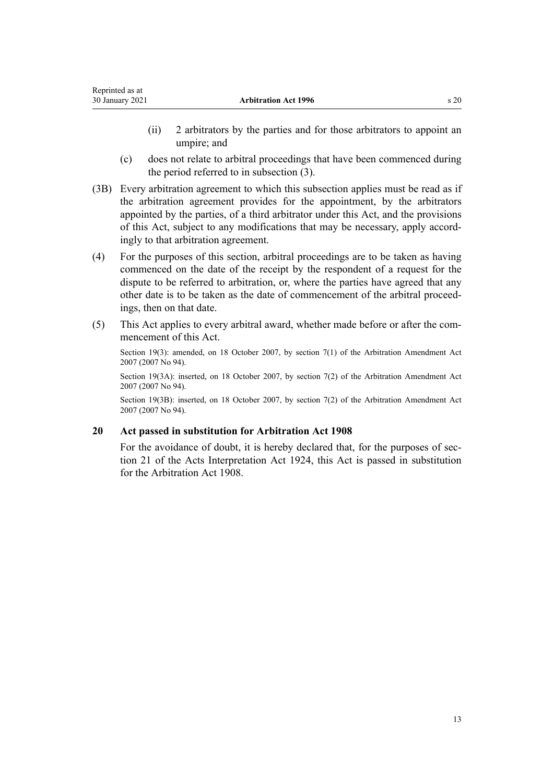- <span id="page-12-0"></span>(ii) 2 arbitrators by the parties and for those arbitrators to appoint an umpire; and
- (c) does not relate to arbitral proceedings that have been commenced during the period referred to in subsection (3).
- (3B) Every arbitration agreement to which this subsection applies must be read as if the arbitration agreement provides for the appointment, by the arbitrators appointed by the parties, of a third arbitrator under this Act, and the provisions of this Act, subject to any modifications that may be necessary, apply accordingly to that arbitration agreement.
- (4) For the purposes of this section, arbitral proceedings are to be taken as having commenced on the date of the receipt by the respondent of a request for the dispute to be referred to arbitration, or, where the parties have agreed that any other date is to be taken as the date of commencement of the arbitral proceedings, then on that date.
- (5) This Act applies to every arbitral award, whether made before or after the commencement of this Act.

Section 19(3): amended, on 18 October 2007, by [section 7\(1\)](http://legislation.govt.nz/pdflink.aspx?id=DLM970224) of the Arbitration Amendment Act 2007 (2007 No 94).

Section 19(3A): inserted, on 18 October 2007, by [section 7\(2\)](http://legislation.govt.nz/pdflink.aspx?id=DLM970224) of the Arbitration Amendment Act 2007 (2007 No 94).

Section 19(3B): inserted, on 18 October 2007, by [section 7\(2\)](http://legislation.govt.nz/pdflink.aspx?id=DLM970224) of the Arbitration Amendment Act 2007 (2007 No 94).

# **20 Act passed in substitution for Arbitration Act 1908**

For the avoidance of doubt, it is hereby declared that, for the purposes of section 21 of the Acts Interpretation Act 1924, this Act is passed in substitution for the Arbitration Act 1908.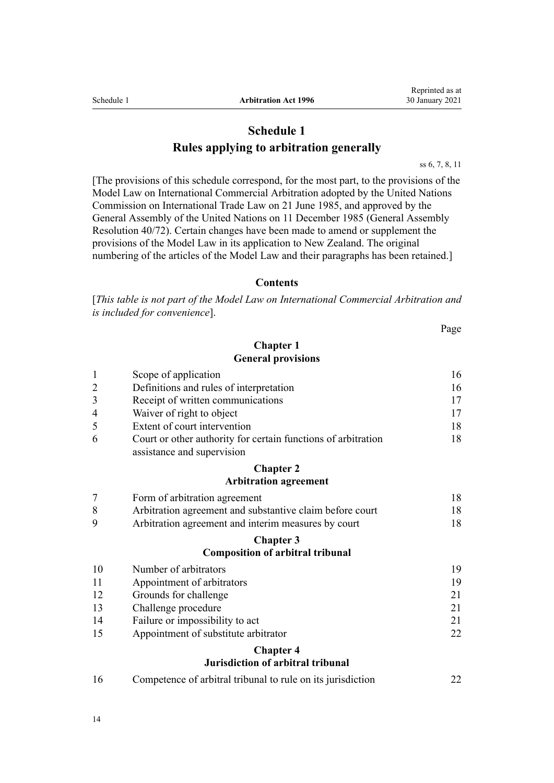# **Schedule 1 Rules applying to arbitration generally**

[ss 6, 7, 8,](#page-4-0) [11](#page-5-0)

<span id="page-13-0"></span>[The provisions of this schedule correspond, for the most part, to the provisions of the Model Law on International Commercial Arbitration adopted by the United Nations Commission on International Trade Law on 21 June 1985, and approved by the General Assembly of the United Nations on 11 December 1985 (General Assembly Resolution 40/72). Certain changes have been made to amend or supplement the provisions of the Model Law in its application to New Zealand. The original numbering of the articles of the Model Law and their paragraphs has been retained.]

#### **Contents**

[*This table is not part of the Model Law on International Commercial Arbitration and is included for convenience*].

Page

# **[Chapter 1](#page-15-0) [General provisions](#page-15-0)**

| $\mathbf{1}$   | Scope of application                                          | 16 |
|----------------|---------------------------------------------------------------|----|
| $\overline{2}$ | Definitions and rules of interpretation                       | 16 |
| 3              | Receipt of written communications                             | 17 |
| $\overline{4}$ | Waiver of right to object                                     | 17 |
| 5              | Extent of court intervention                                  | 18 |
| 6              | Court or other authority for certain functions of arbitration | 18 |
|                | assistance and supervision                                    |    |
|                | <b>Chapter 2</b>                                              |    |
|                | <b>Arbitration agreement</b>                                  |    |
| 7              | Form of arbitration agreement                                 | 18 |
| 8              | Arbitration agreement and substantive claim before court      | 18 |
| 9              | Arbitration agreement and interim measures by court           | 18 |
|                | <b>Chapter 3</b>                                              |    |
|                | <b>Composition of arbitral tribunal</b>                       |    |
| 10             | Number of arbitrators                                         | 19 |
| 11             | Appointment of arbitrators                                    | 19 |
| 12             | Grounds for challenge                                         | 21 |
| 13             | Challenge procedure                                           | 21 |
| 14             | Failure or impossibility to act                               | 21 |
| 15             | Appointment of substitute arbitrator                          | 22 |
|                | <b>Chapter 4</b>                                              |    |
|                | Jurisdiction of arbitral tribunal                             |    |
| 16             | Competence of arbitral tribunal to rule on its jurisdiction   | 22 |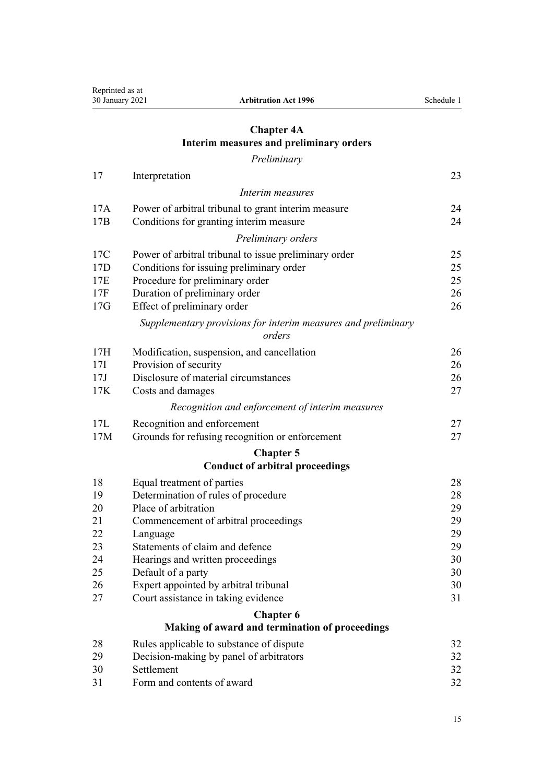| Reprinted as at<br><b>Arbitration Act 1996</b><br>30 January 2021 |                                                                         | Schedule 1 |
|-------------------------------------------------------------------|-------------------------------------------------------------------------|------------|
|                                                                   | <b>Chapter 4A</b><br>Interim measures and preliminary orders            |            |
|                                                                   | Preliminary                                                             |            |
| 17                                                                | Interpretation                                                          | 23         |
|                                                                   | Interim measures                                                        |            |
| 17A                                                               | Power of arbitral tribunal to grant interim measure                     | 24         |
| 17B                                                               | Conditions for granting interim measure                                 | 24         |
|                                                                   | Preliminary orders                                                      |            |
| 17C                                                               | Power of arbitral tribunal to issue preliminary order                   | 25         |
| 17 <sub>D</sub>                                                   | Conditions for issuing preliminary order                                | 25         |
| 17E                                                               | Procedure for preliminary order                                         | 25         |
| 17F                                                               | Duration of preliminary order                                           | 26         |
| 17G                                                               | Effect of preliminary order                                             | 26         |
|                                                                   | Supplementary provisions for interim measures and preliminary<br>orders |            |
| 17H                                                               | Modification, suspension, and cancellation                              | 26         |
| 17I                                                               | Provision of security                                                   | 26         |
| 17J                                                               | Disclosure of material circumstances                                    | 26         |
| 17K                                                               | Costs and damages                                                       | 27         |
|                                                                   | Recognition and enforcement of interim measures                         |            |
| 17L                                                               | Recognition and enforcement                                             | 27         |
| 17M                                                               | Grounds for refusing recognition or enforcement                         | 27         |
|                                                                   | <b>Chapter 5</b>                                                        |            |
|                                                                   | <b>Conduct of arbitral proceedings</b>                                  |            |
| 18                                                                | Equal treatment of parties                                              | 28         |
| 19                                                                | Determination of rules of procedure                                     | 28         |
| 20                                                                | Place of arbitration                                                    | 29         |
| 21                                                                | Commencement of arbitral proceedings                                    | 29         |
| 22                                                                | Language                                                                | 29         |
| 23                                                                | Statements of claim and defence                                         | 29         |
| 24                                                                | Hearings and written proceedings                                        | 30         |
| 25                                                                | Default of a party                                                      | 30         |
| 26                                                                | Expert appointed by arbitral tribunal                                   | 30         |
| 27                                                                | Court assistance in taking evidence                                     | 31         |
|                                                                   | <b>Chapter 6</b>                                                        |            |
|                                                                   | Making of award and termination of proceedings                          |            |
| 28                                                                | Rules applicable to substance of dispute                                | 32         |
| 29                                                                | Decision-making by panel of arbitrators                                 | 32         |
| 30                                                                | Settlement                                                              | 32         |
| 31                                                                | Form and contents of award                                              | 32         |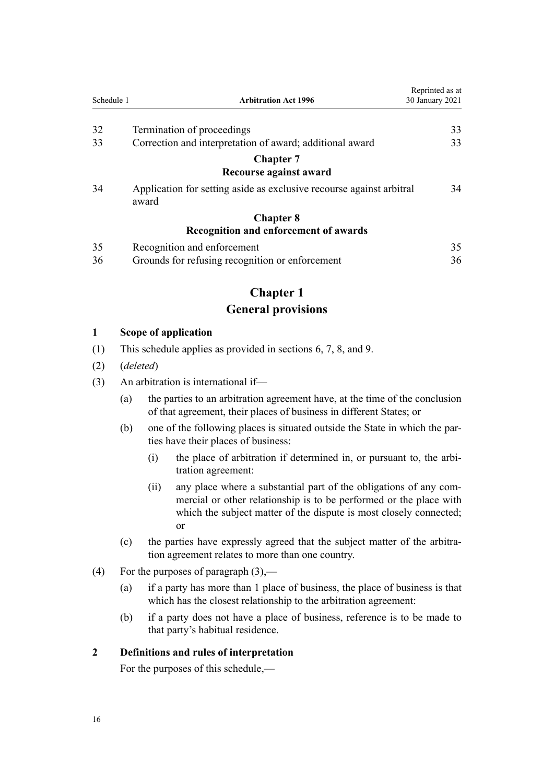<span id="page-15-0"></span>

| Schedule 1 | <b>Arbitration Act 1996</b>                                                   | Reprinted as at<br>30 January 2021 |
|------------|-------------------------------------------------------------------------------|------------------------------------|
|            |                                                                               |                                    |
| 32         | Termination of proceedings                                                    | 33                                 |
| 33         | Correction and interpretation of award; additional award                      | 33                                 |
|            | <b>Chapter 7</b><br>Recourse against award                                    |                                    |
| 34         | Application for setting aside as exclusive recourse against arbitral<br>award | 34                                 |
|            | <b>Chapter 8</b>                                                              |                                    |
|            | Recognition and enforcement of awards                                         |                                    |
| 35         | Recognition and enforcement                                                   | 35                                 |
| 36         | Grounds for refusing recognition or enforcement                               | 36                                 |

# **Chapter 1 General provisions**

# **1 Scope of application**

- (1) This schedule applies as provided in [sections 6,](#page-4-0) [7](#page-4-0), [8,](#page-4-0) and [9.](#page-4-0)
- (2) (*deleted*)

# (3) An arbitration is international if—

- (a) the parties to an arbitration agreement have, at the time of the conclusion of that agreement, their places of business in different States; or
- (b) one of the following places is situated outside the State in which the parties have their places of business:
	- (i) the place of arbitration if determined in, or pursuant to, the arbitration agreement:
	- (ii) any place where a substantial part of the obligations of any commercial or other relationship is to be performed or the place with which the subject matter of the dispute is most closely connected; or
- (c) the parties have expressly agreed that the subject matter of the arbitration agreement relates to more than one country.
- (4) For the purposes of paragraph  $(3)$ ,—
	- (a) if a party has more than 1 place of business, the place of business is that which has the closest relationship to the arbitration agreement:
	- (b) if a party does not have a place of business, reference is to be made to that party's habitual residence.

#### **2 Definitions and rules of interpretation**

For the purposes of this schedule,—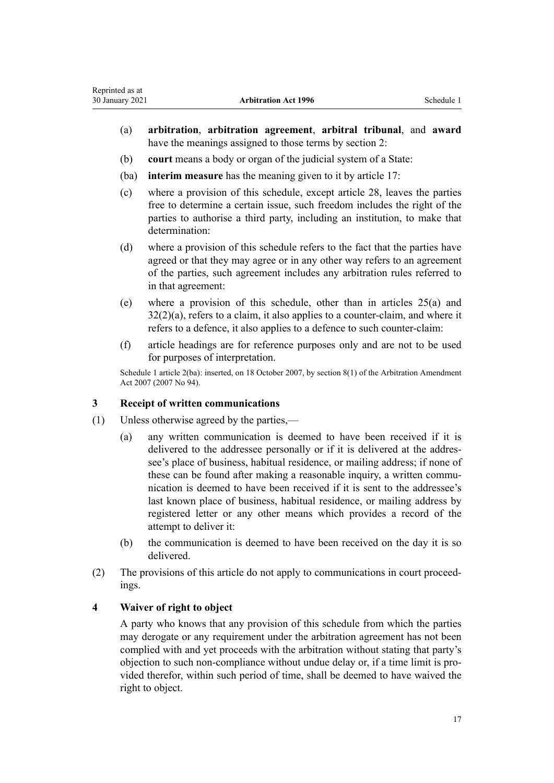- <span id="page-16-0"></span>(a) **arbitration**, **arbitration agreement**, **arbitral tribunal**, and **award** have the meanings assigned to those terms by [section 2](#page-2-0):
- (b) **court** means a body or organ of the judicial system of a State:
- (ba) **interim measure** has the meaning given to it by [article 17](#page-22-0):
- (c) where a provision of this schedule, except [article 28,](#page-31-0) leaves the parties free to determine a certain issue, such freedom includes the right of the parties to authorise a third party, including an institution, to make that determination:
- (d) where a provision of this schedule refers to the fact that the parties have agreed or that they may agree or in any other way refers to an agreement of the parties, such agreement includes any arbitration rules referred to in that agreement:
- (e) where a provision of this schedule, other than in [articles 25\(a\)](#page-29-0) and  $32(2)(a)$ , refers to a claim, it also applies to a counter-claim, and where it refers to a defence, it also applies to a defence to such counter-claim:
- (f) article headings are for reference purposes only and are not to be used for purposes of interpretation.

Schedule 1 article 2(ba): inserted, on 18 October 2007, by [section 8\(1\)](http://legislation.govt.nz/pdflink.aspx?id=DLM970225) of the Arbitration Amendment Act 2007 (2007 No 94).

#### **3 Receipt of written communications**

- (1) Unless otherwise agreed by the parties,—
	- (a) any written communication is deemed to have been received if it is delivered to the addressee personally or if it is delivered at the addressee's place of business, habitual residence, or mailing address; if none of these can be found after making a reasonable inquiry, a written communication is deemed to have been received if it is sent to the addressee's last known place of business, habitual residence, or mailing address by registered letter or any other means which provides a record of the attempt to deliver it:
	- (b) the communication is deemed to have been received on the day it is so delivered.
- (2) The provisions of this article do not apply to communications in court proceedings.

# **4 Waiver of right to object**

A party who knows that any provision of this schedule from which the parties may derogate or any requirement under the arbitration agreement has not been complied with and yet proceeds with the arbitration without stating that party's objection to such non-compliance without undue delay or, if a time limit is provided therefor, within such period of time, shall be deemed to have waived the right to object.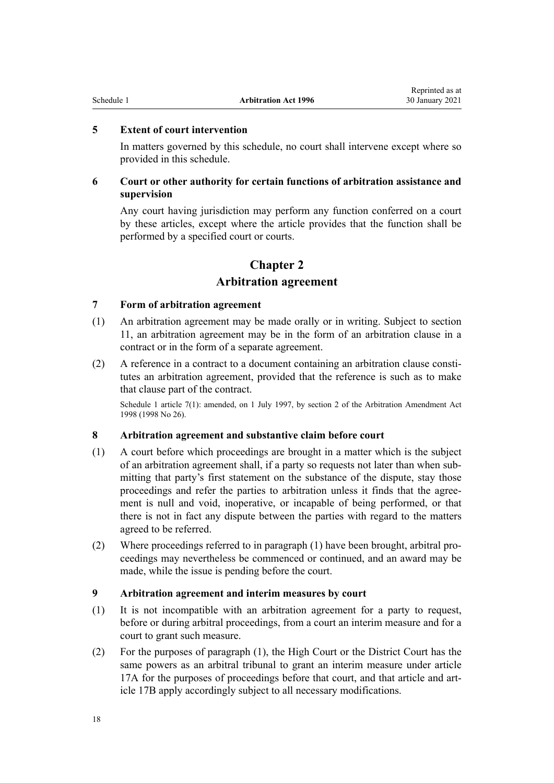## <span id="page-17-0"></span>**5 Extent of court intervention**

In matters governed by this schedule, no court shall intervene except where so provided in this schedule.

# **6 Court or other authority for certain functions of arbitration assistance and supervision**

Any court having jurisdiction may perform any function conferred on a court by these articles, except where the article provides that the function shall be performed by a specified court or courts.

# **Chapter 2**

# **Arbitration agreement**

#### **7 Form of arbitration agreement**

- (1) An arbitration agreement may be made orally or in writing. Subject to [section](#page-5-0) [11](#page-5-0), an arbitration agreement may be in the form of an arbitration clause in a contract or in the form of a separate agreement.
- (2) A reference in a contract to a document containing an arbitration clause constitutes an arbitration agreement, provided that the reference is such as to make that clause part of the contract.

Schedule 1 article 7(1): amended, on 1 July 1997, by [section 2](http://legislation.govt.nz/pdflink.aspx?id=DLM426229) of the Arbitration Amendment Act 1998 (1998 No 26).

#### **8 Arbitration agreement and substantive claim before court**

- (1) A court before which proceedings are brought in a matter which is the subject of an arbitration agreement shall, if a party so requests not later than when submitting that party's first statement on the substance of the dispute, stay those proceedings and refer the parties to arbitration unless it finds that the agreement is null and void, inoperative, or incapable of being performed, or that there is not in fact any dispute between the parties with regard to the matters agreed to be referred.
- (2) Where proceedings referred to in paragraph (1) have been brought, arbitral proceedings may nevertheless be commenced or continued, and an award may be made, while the issue is pending before the court.

#### **9 Arbitration agreement and interim measures by court**

- (1) It is not incompatible with an arbitration agreement for a party to request, before or during arbitral proceedings, from a court an interim measure and for a court to grant such measure.
- (2) For the purposes of paragraph (1), the High Court or the District Court has the same powers as an arbitral tribunal to grant an interim measure under [article](#page-23-0) [17A](#page-23-0) for the purposes of proceedings before that court, and that article and [art](#page-23-0)[icle 17B](#page-23-0) apply accordingly subject to all necessary modifications.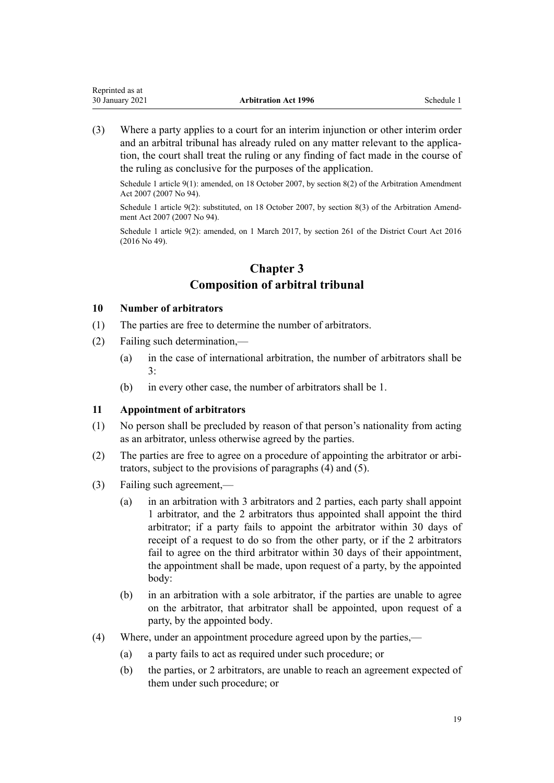<span id="page-18-0"></span>(3) Where a party applies to a court for an interim injunction or other interim order and an arbitral tribunal has already ruled on any matter relevant to the application, the court shall treat the ruling or any finding of fact made in the course of the ruling as conclusive for the purposes of the application.

Schedule 1 article 9(1): amended, on 18 October 2007, by [section 8\(2\)](http://legislation.govt.nz/pdflink.aspx?id=DLM970225) of the Arbitration Amendment Act 2007 (2007 No 94).

Schedule 1 article 9(2): substituted, on 18 October 2007, by [section 8\(3\)](http://legislation.govt.nz/pdflink.aspx?id=DLM970225) of the Arbitration Amendment Act 2007 (2007 No 94).

Schedule 1 article 9(2): amended, on 1 March 2017, by [section 261](http://legislation.govt.nz/pdflink.aspx?id=DLM6942680) of the District Court Act 2016 (2016 No 49).

# **Chapter 3 Composition of arbitral tribunal**

#### **10 Number of arbitrators**

- (1) The parties are free to determine the number of arbitrators.
- (2) Failing such determination,—
	- (a) in the case of international arbitration, the number of arbitrators shall be 3:
	- (b) in every other case, the number of arbitrators shall be 1.

#### **11 Appointment of arbitrators**

- (1) No person shall be precluded by reason of that person's nationality from acting as an arbitrator, unless otherwise agreed by the parties.
- (2) The parties are free to agree on a procedure of appointing the arbitrator or arbitrators, subject to the provisions of paragraphs (4) and (5).
- (3) Failing such agreement,—
	- (a) in an arbitration with 3 arbitrators and 2 parties, each party shall appoint 1 arbitrator, and the 2 arbitrators thus appointed shall appoint the third arbitrator; if a party fails to appoint the arbitrator within 30 days of receipt of a request to do so from the other party, or if the 2 arbitrators fail to agree on the third arbitrator within 30 days of their appointment, the appointment shall be made, upon request of a party, by the appointed body:
	- (b) in an arbitration with a sole arbitrator, if the parties are unable to agree on the arbitrator, that arbitrator shall be appointed, upon request of a party, by the appointed body.
- (4) Where, under an appointment procedure agreed upon by the parties,—
	- (a) a party fails to act as required under such procedure; or
	- (b) the parties, or 2 arbitrators, are unable to reach an agreement expected of them under such procedure; or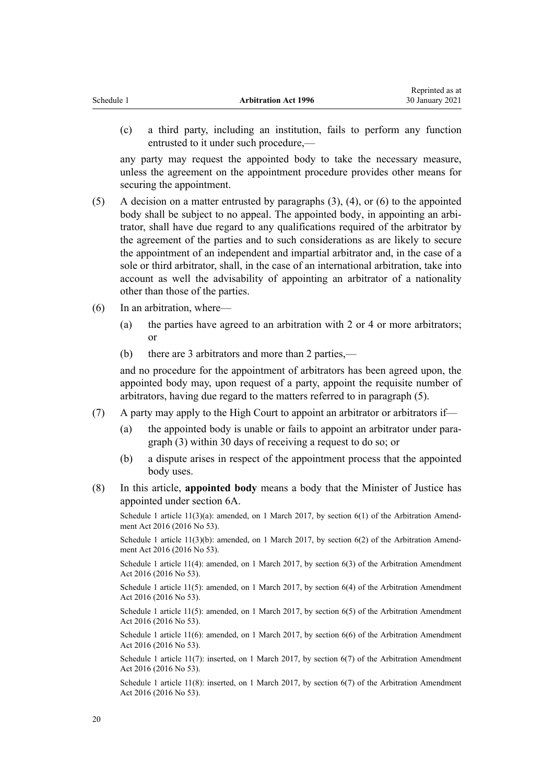(c) a third party, including an institution, fails to perform any function entrusted to it under such procedure,—

any party may request the appointed body to take the necessary measure, unless the agreement on the appointment procedure provides other means for securing the appointment.

- (5) A decision on a matter entrusted by paragraphs (3), (4), or (6) to the appointed body shall be subject to no appeal. The appointed body, in appointing an arbitrator, shall have due regard to any qualifications required of the arbitrator by the agreement of the parties and to such considerations as are likely to secure the appointment of an independent and impartial arbitrator and, in the case of a sole or third arbitrator, shall, in the case of an international arbitration, take into account as well the advisability of appointing an arbitrator of a nationality other than those of the parties.
- (6) In an arbitration, where—
	- (a) the parties have agreed to an arbitration with 2 or 4 or more arbitrators; or
	- (b) there are 3 arbitrators and more than 2 parties,—

and no procedure for the appointment of arbitrators has been agreed upon, the appointed body may, upon request of a party, appoint the requisite number of arbitrators, having due regard to the matters referred to in paragraph (5).

- (7) A party may apply to the High Court to appoint an arbitrator or arbitrators if—
	- (a) the appointed body is unable or fails to appoint an arbitrator under paragraph (3) within 30 days of receiving a request to do so; or
	- (b) a dispute arises in respect of the appointment process that the appointed body uses.
- (8) In this article, **appointed body** means a body that the Minister of Justice has appointed under [section 6A.](#page-3-0)

Schedule 1 article 11(3)(a): amended, on 1 March 2017, by [section 6\(1\)](http://legislation.govt.nz/pdflink.aspx?id=DLM6943714) of the Arbitration Amendment Act 2016 (2016 No 53).

Schedule 1 article  $11(3)(b)$ : amended, on 1 March 2017, by [section 6\(2\)](http://legislation.govt.nz/pdflink.aspx?id=DLM6943714) of the Arbitration Amendment Act 2016 (2016 No 53).

Schedule 1 article 11(4): amended, on 1 March 2017, by [section 6\(3\)](http://legislation.govt.nz/pdflink.aspx?id=DLM6943714) of the Arbitration Amendment Act 2016 (2016 No 53).

Schedule 1 article 11(5): amended, on 1 March 2017, by [section 6\(4\)](http://legislation.govt.nz/pdflink.aspx?id=DLM6943714) of the Arbitration Amendment Act 2016 (2016 No 53).

Schedule 1 article 11(5): amended, on 1 March 2017, by [section 6\(5\)](http://legislation.govt.nz/pdflink.aspx?id=DLM6943714) of the Arbitration Amendment Act 2016 (2016 No 53).

Schedule 1 article 11(6): amended, on 1 March 2017, by [section 6\(6\)](http://legislation.govt.nz/pdflink.aspx?id=DLM6943714) of the Arbitration Amendment Act 2016 (2016 No 53).

Schedule 1 article 11(7): inserted, on 1 March 2017, by [section 6\(7\)](http://legislation.govt.nz/pdflink.aspx?id=DLM6943714) of the Arbitration Amendment Act 2016 (2016 No 53).

Schedule 1 article 11(8): inserted, on 1 March 2017, by [section 6\(7\)](http://legislation.govt.nz/pdflink.aspx?id=DLM6943714) of the Arbitration Amendment Act 2016 (2016 No 53).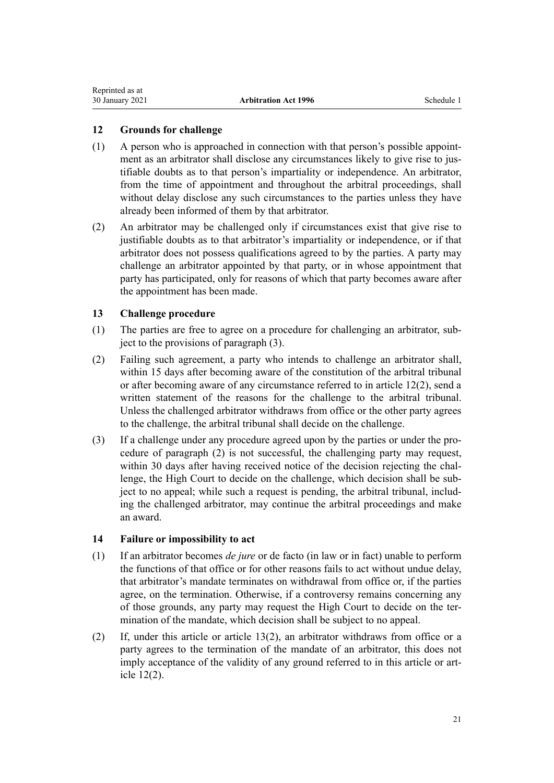# <span id="page-20-0"></span>**12 Grounds for challenge**

- (1) A person who is approached in connection with that person's possible appointment as an arbitrator shall disclose any circumstances likely to give rise to justifiable doubts as to that person's impartiality or independence. An arbitrator, from the time of appointment and throughout the arbitral proceedings, shall without delay disclose any such circumstances to the parties unless they have already been informed of them by that arbitrator.
- (2) An arbitrator may be challenged only if circumstances exist that give rise to justifiable doubts as to that arbitrator's impartiality or independence, or if that arbitrator does not possess qualifications agreed to by the parties. A party may challenge an arbitrator appointed by that party, or in whose appointment that party has participated, only for reasons of which that party becomes aware after the appointment has been made.

## **13 Challenge procedure**

- (1) The parties are free to agree on a procedure for challenging an arbitrator, subject to the provisions of paragraph (3).
- (2) Failing such agreement, a party who intends to challenge an arbitrator shall, within 15 days after becoming aware of the constitution of the arbitral tribunal or after becoming aware of any circumstance referred to in article 12(2), send a written statement of the reasons for the challenge to the arbitral tribunal. Unless the challenged arbitrator withdraws from office or the other party agrees to the challenge, the arbitral tribunal shall decide on the challenge.
- (3) If a challenge under any procedure agreed upon by the parties or under the procedure of paragraph (2) is not successful, the challenging party may request, within 30 days after having received notice of the decision rejecting the challenge, the High Court to decide on the challenge, which decision shall be subject to no appeal; while such a request is pending, the arbitral tribunal, including the challenged arbitrator, may continue the arbitral proceedings and make an award.

# **14 Failure or impossibility to act**

- (1) If an arbitrator becomes *de jure* or de facto (in law or in fact) unable to perform the functions of that office or for other reasons fails to act without undue delay, that arbitrator's mandate terminates on withdrawal from office or, if the parties agree, on the termination. Otherwise, if a controversy remains concerning any of those grounds, any party may request the High Court to decide on the termination of the mandate, which decision shall be subject to no appeal.
- (2) If, under this article or article 13(2), an arbitrator withdraws from office or a party agrees to the termination of the mandate of an arbitrator, this does not imply acceptance of the validity of any ground referred to in this article or article 12(2).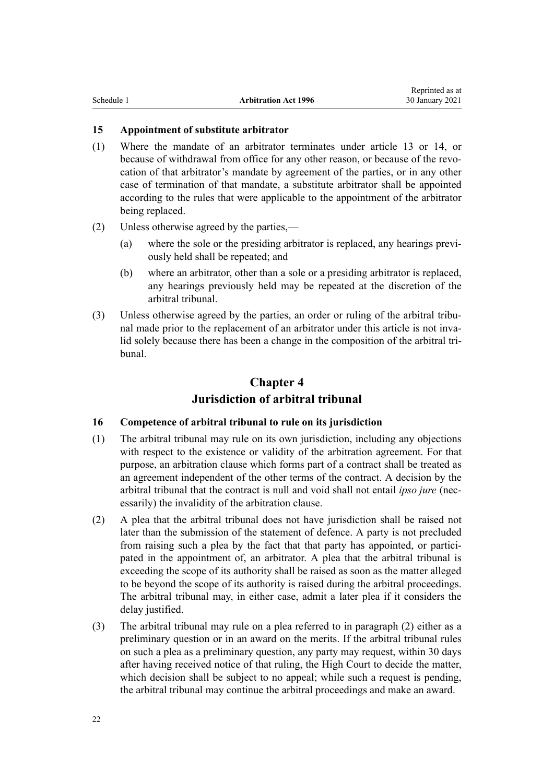## <span id="page-21-0"></span>**15 Appointment of substitute arbitrator**

- (1) Where the mandate of an arbitrator terminates under [article 13](#page-20-0) or [14,](#page-20-0) or because of withdrawal from office for any other reason, or because of the revocation of that arbitrator's mandate by agreement of the parties, or in any other case of termination of that mandate, a substitute arbitrator shall be appointed according to the rules that were applicable to the appointment of the arbitrator being replaced.
- (2) Unless otherwise agreed by the parties,—
	- (a) where the sole or the presiding arbitrator is replaced, any hearings previously held shall be repeated; and
	- (b) where an arbitrator, other than a sole or a presiding arbitrator is replaced, any hearings previously held may be repeated at the discretion of the arbitral tribunal.
- (3) Unless otherwise agreed by the parties, an order or ruling of the arbitral tribunal made prior to the replacement of an arbitrator under this article is not invalid solely because there has been a change in the composition of the arbitral tribunal.

# **Chapter 4 Jurisdiction of arbitral tribunal**

## **16 Competence of arbitral tribunal to rule on its jurisdiction**

- (1) The arbitral tribunal may rule on its own jurisdiction, including any objections with respect to the existence or validity of the arbitration agreement. For that purpose, an arbitration clause which forms part of a contract shall be treated as an agreement independent of the other terms of the contract. A decision by the arbitral tribunal that the contract is null and void shall not entail *ipso jure* (necessarily) the invalidity of the arbitration clause.
- (2) A plea that the arbitral tribunal does not have jurisdiction shall be raised not later than the submission of the statement of defence. A party is not precluded from raising such a plea by the fact that that party has appointed, or participated in the appointment of, an arbitrator. A plea that the arbitral tribunal is exceeding the scope of its authority shall be raised as soon as the matter alleged to be beyond the scope of its authority is raised during the arbitral proceedings. The arbitral tribunal may, in either case, admit a later plea if it considers the delay justified.
- (3) The arbitral tribunal may rule on a plea referred to in paragraph (2) either as a preliminary question or in an award on the merits. If the arbitral tribunal rules on such a plea as a preliminary question, any party may request, within 30 days after having received notice of that ruling, the High Court to decide the matter, which decision shall be subject to no appeal; while such a request is pending, the arbitral tribunal may continue the arbitral proceedings and make an award.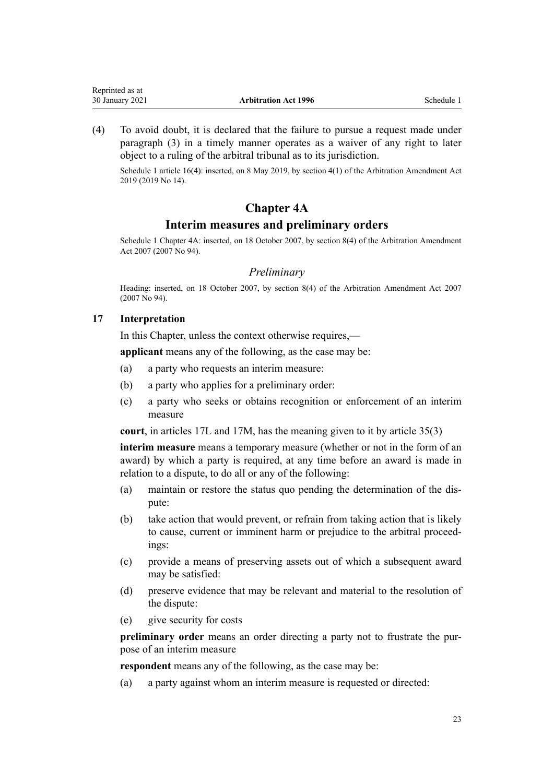<span id="page-22-0"></span>(4) To avoid doubt, it is declared that the failure to pursue a request made under paragraph (3) in a timely manner operates as a waiver of any right to later object to a ruling of the arbitral tribunal as to its jurisdiction.

Schedule 1 article 16(4): inserted, on 8 May 2019, by [section 4\(1\)](http://legislation.govt.nz/pdflink.aspx?id=DLM7153613) of the Arbitration Amendment Act 2019 (2019 No 14).

# **Chapter 4A**

# **Interim measures and preliminary orders**

Schedule 1 Chapter 4A: inserted, on 18 October 2007, by [section 8\(4\)](http://legislation.govt.nz/pdflink.aspx?id=DLM970225) of the Arbitration Amendment Act 2007 (2007 No 94).

# *Preliminary*

Heading: inserted, on 18 October 2007, by [section 8\(4\)](http://legislation.govt.nz/pdflink.aspx?id=DLM970225) of the Arbitration Amendment Act 2007 (2007 No 94).

# **17 Interpretation**

In this Chapter, unless the context otherwise requires,—

**applicant** means any of the following, as the case may be:

- (a) a party who requests an interim measure:
- (b) a party who applies for a preliminary order:
- (c) a party who seeks or obtains recognition or enforcement of an interim measure

**court**, in [articles 17L](#page-26-0) and [17M,](#page-26-0) has the meaning given to it by [article 35\(3\)](#page-34-0)

**interim measure** means a temporary measure (whether or not in the form of an award) by which a party is required, at any time before an award is made in relation to a dispute, to do all or any of the following:

- (a) maintain or restore the status quo pending the determination of the dispute:
- (b) take action that would prevent, or refrain from taking action that is likely to cause, current or imminent harm or prejudice to the arbitral proceedings:
- (c) provide a means of preserving assets out of which a subsequent award may be satisfied:
- (d) preserve evidence that may be relevant and material to the resolution of the dispute:
- (e) give security for costs

**preliminary order** means an order directing a party not to frustrate the purpose of an interim measure

**respondent** means any of the following, as the case may be:

(a) a party against whom an interim measure is requested or directed: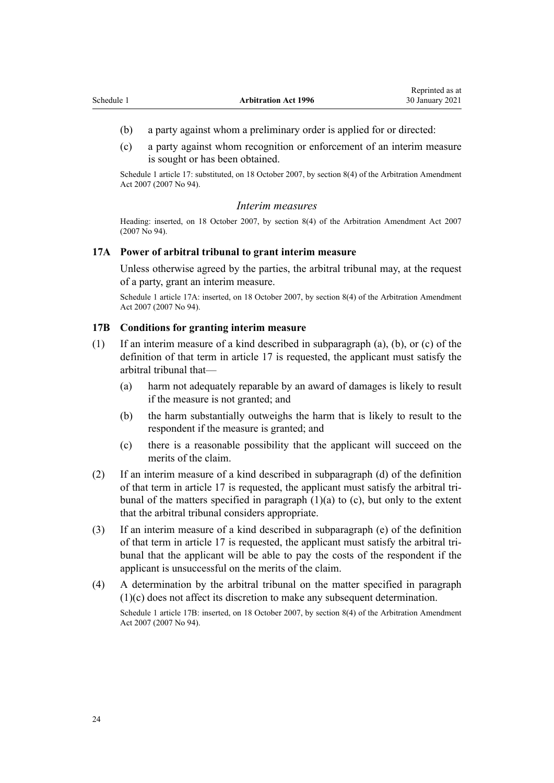- <span id="page-23-0"></span>(b) a party against whom a preliminary order is applied for or directed:
- (c) a party against whom recognition or enforcement of an interim measure is sought or has been obtained.

Schedule 1 article 17: substituted, on 18 October 2007, by [section 8\(4\)](http://legislation.govt.nz/pdflink.aspx?id=DLM970225) of the Arbitration Amendment Act 2007 (2007 No 94).

#### *Interim measures*

Heading: inserted, on 18 October 2007, by [section 8\(4\)](http://legislation.govt.nz/pdflink.aspx?id=DLM970225) of the Arbitration Amendment Act 2007 (2007 No 94).

#### **17A Power of arbitral tribunal to grant interim measure**

Unless otherwise agreed by the parties, the arbitral tribunal may, at the request of a party, grant an interim measure.

Schedule 1 article 17A: inserted, on 18 October 2007, by [section 8\(4\)](http://legislation.govt.nz/pdflink.aspx?id=DLM970225) of the Arbitration Amendment Act 2007 (2007 No 94).

#### **17B Conditions for granting interim measure**

- (1) If an interim measure of a kind described in subparagraph (a), (b), or (c) of the definition of that term in [article 17](#page-22-0) is requested, the applicant must satisfy the arbitral tribunal that—
	- (a) harm not adequately reparable by an award of damages is likely to result if the measure is not granted; and
	- (b) the harm substantially outweighs the harm that is likely to result to the respondent if the measure is granted; and
	- (c) there is a reasonable possibility that the applicant will succeed on the merits of the claim.
- (2) If an interim measure of a kind described in subparagraph (d) of the definition of that term in [article 17](#page-22-0) is requested, the applicant must satisfy the arbitral tribunal of the matters specified in paragraph  $(1)(a)$  to  $(c)$ , but only to the extent that the arbitral tribunal considers appropriate.
- (3) If an interim measure of a kind described in subparagraph (e) of the definition of that term in [article 17](#page-22-0) is requested, the applicant must satisfy the arbitral tribunal that the applicant will be able to pay the costs of the respondent if the applicant is unsuccessful on the merits of the claim.
- (4) A determination by the arbitral tribunal on the matter specified in paragraph (1)(c) does not affect its discretion to make any subsequent determination. Schedule 1 article 17B: inserted, on 18 October 2007, by [section 8\(4\)](http://legislation.govt.nz/pdflink.aspx?id=DLM970225) of the Arbitration Amendment

Act 2007 (2007 No 94).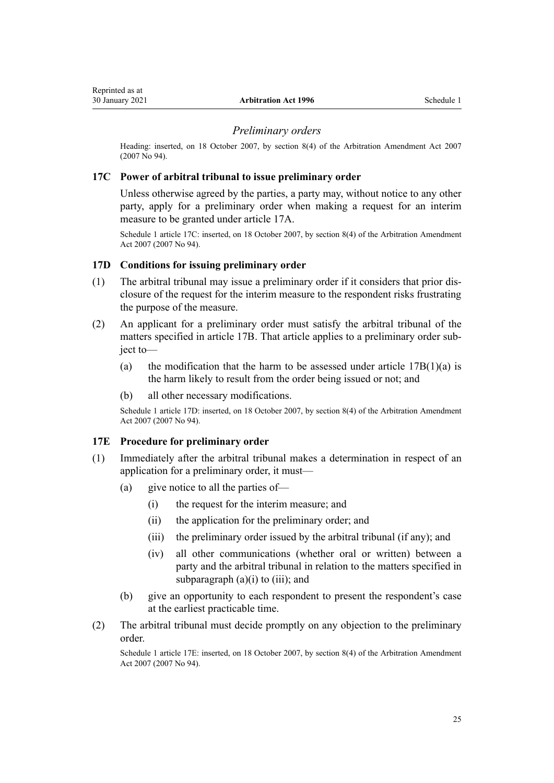#### *Preliminary orders*

<span id="page-24-0"></span>Heading: inserted, on 18 October 2007, by [section 8\(4\)](http://legislation.govt.nz/pdflink.aspx?id=DLM970225) of the Arbitration Amendment Act 2007 (2007 No 94).

#### **17C Power of arbitral tribunal to issue preliminary order**

Unless otherwise agreed by the parties, a party may, without notice to any other party, apply for a preliminary order when making a request for an interim measure to be granted under [article 17A.](#page-23-0)

Schedule 1 article 17C: inserted, on 18 October 2007, by [section 8\(4\)](http://legislation.govt.nz/pdflink.aspx?id=DLM970225) of the Arbitration Amendment Act 2007 (2007 No 94).

#### **17D Conditions for issuing preliminary order**

- (1) The arbitral tribunal may issue a preliminary order if it considers that prior disclosure of the request for the interim measure to the respondent risks frustrating the purpose of the measure.
- (2) An applicant for a preliminary order must satisfy the arbitral tribunal of the matters specified in [article 17B.](#page-23-0) That article applies to a preliminary order subject to—
	- (a) the modification that the harm to be assessed under article  $17B(1)(a)$  is the harm likely to result from the order being issued or not; and
	- (b) all other necessary modifications.

Schedule 1 article 17D: inserted, on 18 October 2007, by [section 8\(4\)](http://legislation.govt.nz/pdflink.aspx?id=DLM970225) of the Arbitration Amendment Act 2007 (2007 No 94).

#### **17E Procedure for preliminary order**

- (1) Immediately after the arbitral tribunal makes a determination in respect of an application for a preliminary order, it must—
	- (a) give notice to all the parties of—
		- (i) the request for the interim measure; and
		- (ii) the application for the preliminary order; and
		- (iii) the preliminary order issued by the arbitral tribunal (if any); and
		- (iv) all other communications (whether oral or written) between a party and the arbitral tribunal in relation to the matters specified in subparagraph  $(a)(i)$  to  $(iii)$ ; and
	- (b) give an opportunity to each respondent to present the respondent's case at the earliest practicable time.
- (2) The arbitral tribunal must decide promptly on any objection to the preliminary order.

Schedule 1 article 17E: inserted, on 18 October 2007, by [section 8\(4\)](http://legislation.govt.nz/pdflink.aspx?id=DLM970225) of the Arbitration Amendment Act 2007 (2007 No 94).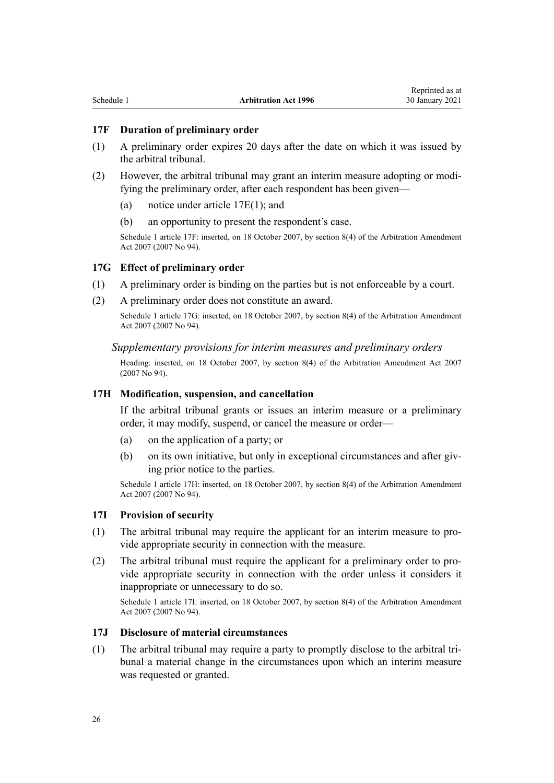#### <span id="page-25-0"></span>**17F Duration of preliminary order**

- (1) A preliminary order expires 20 days after the date on which it was issued by the arbitral tribunal.
- (2) However, the arbitral tribunal may grant an interim measure adopting or modifying the preliminary order, after each respondent has been given—
	- (a) notice under [article 17E\(1\);](#page-24-0) and
	- (b) an opportunity to present the respondent's case.

Schedule 1 article 17F: inserted, on 18 October 2007, by [section 8\(4\)](http://legislation.govt.nz/pdflink.aspx?id=DLM970225) of the Arbitration Amendment Act 2007 (2007 No 94).

#### **17G Effect of preliminary order**

- (1) A preliminary order is binding on the parties but is not enforceable by a court.
- (2) A preliminary order does not constitute an award.

Schedule 1 article 17G: inserted, on 18 October 2007, by [section 8\(4\)](http://legislation.govt.nz/pdflink.aspx?id=DLM970225) of the Arbitration Amendment Act 2007 (2007 No 94).

*Supplementary provisions for interim measures and preliminary orders*

Heading: inserted, on 18 October 2007, by [section 8\(4\)](http://legislation.govt.nz/pdflink.aspx?id=DLM970225) of the Arbitration Amendment Act 2007 (2007 No 94).

#### **17H Modification, suspension, and cancellation**

If the arbitral tribunal grants or issues an interim measure or a preliminary order, it may modify, suspend, or cancel the measure or order—

- (a) on the application of a party; or
- (b) on its own initiative, but only in exceptional circumstances and after giving prior notice to the parties.

Schedule 1 article 17H: inserted, on 18 October 2007, by [section 8\(4\)](http://legislation.govt.nz/pdflink.aspx?id=DLM970225) of the Arbitration Amendment Act 2007 (2007 No 94).

## **17I Provision of security**

- (1) The arbitral tribunal may require the applicant for an interim measure to provide appropriate security in connection with the measure.
- (2) The arbitral tribunal must require the applicant for a preliminary order to provide appropriate security in connection with the order unless it considers it inappropriate or unnecessary to do so.

Schedule 1 article 17I: inserted, on 18 October 2007, by [section 8\(4\)](http://legislation.govt.nz/pdflink.aspx?id=DLM970225) of the Arbitration Amendment Act 2007 (2007 No 94).

## **17J Disclosure of material circumstances**

(1) The arbitral tribunal may require a party to promptly disclose to the arbitral tribunal a material change in the circumstances upon which an interim measure was requested or granted.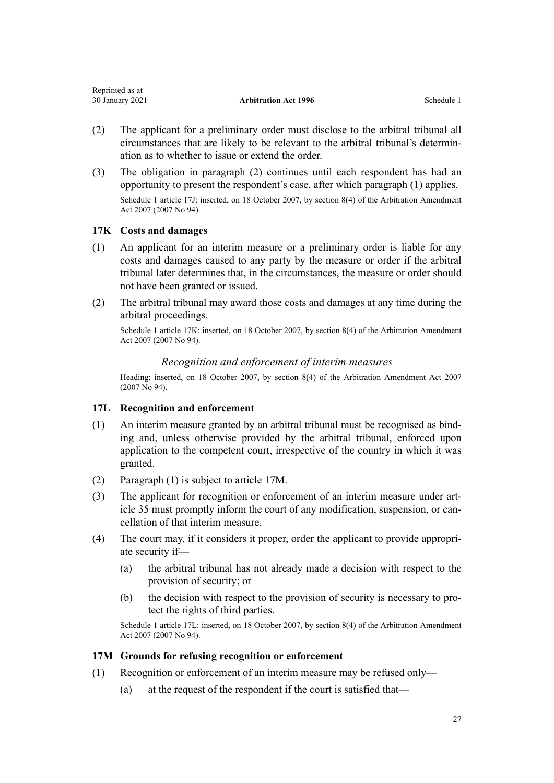<span id="page-26-0"></span>

| Reprinted as at |                             |            |
|-----------------|-----------------------------|------------|
| 30 January 2021 | <b>Arbitration Act 1996</b> | Schedule 1 |

- (2) The applicant for a preliminary order must disclose to the arbitral tribunal all circumstances that are likely to be relevant to the arbitral tribunal's determination as to whether to issue or extend the order.
- (3) The obligation in paragraph (2) continues until each respondent has had an opportunity to present the respondent's case, after which paragraph (1) applies. Schedule 1 article 17J: inserted, on 18 October 2007, by [section 8\(4\)](http://legislation.govt.nz/pdflink.aspx?id=DLM970225) of the Arbitration Amendment Act 2007 (2007 No 94).

## **17K Costs and damages**

- (1) An applicant for an interim measure or a preliminary order is liable for any costs and damages caused to any party by the measure or order if the arbitral tribunal later determines that, in the circumstances, the measure or order should not have been granted or issued.
- (2) The arbitral tribunal may award those costs and damages at any time during the arbitral proceedings.

Schedule 1 article 17K: inserted, on 18 October 2007, by [section 8\(4\)](http://legislation.govt.nz/pdflink.aspx?id=DLM970225) of the Arbitration Amendment Act 2007 (2007 No 94).

## *Recognition and enforcement of interim measures*

Heading: inserted, on 18 October 2007, by [section 8\(4\)](http://legislation.govt.nz/pdflink.aspx?id=DLM970225) of the Arbitration Amendment Act 2007 (2007 No 94).

#### **17L Recognition and enforcement**

- (1) An interim measure granted by an arbitral tribunal must be recognised as binding and, unless otherwise provided by the arbitral tribunal, enforced upon application to the competent court, irrespective of the country in which it was granted.
- (2) Paragraph (1) is subject to article 17M.
- (3) The applicant for recognition or enforcement of an interim measure under [art](#page-34-0)[icle 35](#page-34-0) must promptly inform the court of any modification, suspension, or cancellation of that interim measure.
- (4) The court may, if it considers it proper, order the applicant to provide appropriate security if—
	- (a) the arbitral tribunal has not already made a decision with respect to the provision of security; or
	- (b) the decision with respect to the provision of security is necessary to protect the rights of third parties.

Schedule 1 article 17L: inserted, on 18 October 2007, by [section 8\(4\)](http://legislation.govt.nz/pdflink.aspx?id=DLM970225) of the Arbitration Amendment Act 2007 (2007 No 94).

## **17M Grounds for refusing recognition or enforcement**

- (1) Recognition or enforcement of an interim measure may be refused only—
	- (a) at the request of the respondent if the court is satisfied that—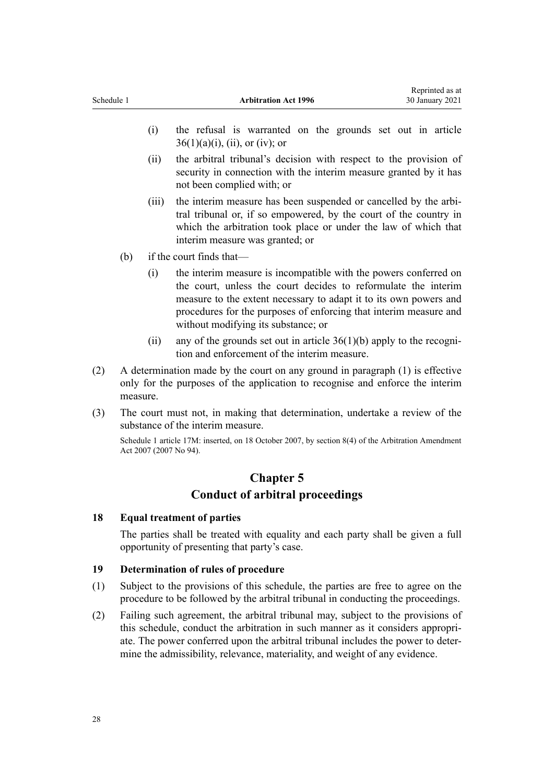<span id="page-27-0"></span>

| Schedule 1 |                                                                                                                                                                            |                          | <b>Arbitration Act 1996</b>                                                                                                                                                                                                                                                                                         | 30 January 2021 |  |
|------------|----------------------------------------------------------------------------------------------------------------------------------------------------------------------------|--------------------------|---------------------------------------------------------------------------------------------------------------------------------------------------------------------------------------------------------------------------------------------------------------------------------------------------------------------|-----------------|--|
|            |                                                                                                                                                                            | (i)                      | the refusal is warranted on the grounds set out in article<br>$36(1)(a)(i)$ , (ii), or (iv); or                                                                                                                                                                                                                     |                 |  |
|            |                                                                                                                                                                            | (ii)                     | the arbitral tribunal's decision with respect to the provision of<br>security in connection with the interim measure granted by it has<br>not been complied with; or                                                                                                                                                |                 |  |
|            |                                                                                                                                                                            | (iii)                    | the interim measure has been suspended or cancelled by the arbi-<br>tral tribunal or, if so empowered, by the court of the country in<br>which the arbitration took place or under the law of which that<br>interim measure was granted; or                                                                         |                 |  |
|            | (b)                                                                                                                                                                        | if the court finds that— |                                                                                                                                                                                                                                                                                                                     |                 |  |
|            |                                                                                                                                                                            | (i)                      | the interim measure is incompatible with the powers conferred on<br>the court, unless the court decides to reformulate the interim<br>measure to the extent necessary to adapt it to its own powers and<br>procedures for the purposes of enforcing that interim measure and<br>without modifying its substance; or |                 |  |
|            |                                                                                                                                                                            | (ii)                     | any of the grounds set out in article $36(1)(b)$ apply to the recogni-<br>tion and enforcement of the interim measure.                                                                                                                                                                                              |                 |  |
| (2)        | A determination made by the court on any ground in paragraph (1) is effective<br>only for the purposes of the application to recognise and enforce the interim<br>measure. |                          |                                                                                                                                                                                                                                                                                                                     |                 |  |
| (3)        |                                                                                                                                                                            |                          | The court must not, in making that determination, undertake a review of the<br>substance of the interim measure.                                                                                                                                                                                                    |                 |  |
|            |                                                                                                                                                                            | Act 2007 (2007 No 94).   | Schedule 1 article 17M: inserted, on 18 October 2007, by section 8(4) of the Arbitration Amendment                                                                                                                                                                                                                  |                 |  |

Reprinted as at

# **Chapter 5 Conduct of arbitral proceedings**

## **18 Equal treatment of parties**

The parties shall be treated with equality and each party shall be given a full opportunity of presenting that party's case.

## **19 Determination of rules of procedure**

- (1) Subject to the provisions of this schedule, the parties are free to agree on the procedure to be followed by the arbitral tribunal in conducting the proceedings.
- (2) Failing such agreement, the arbitral tribunal may, subject to the provisions of this schedule, conduct the arbitration in such manner as it considers appropriate. The power conferred upon the arbitral tribunal includes the power to determine the admissibility, relevance, materiality, and weight of any evidence.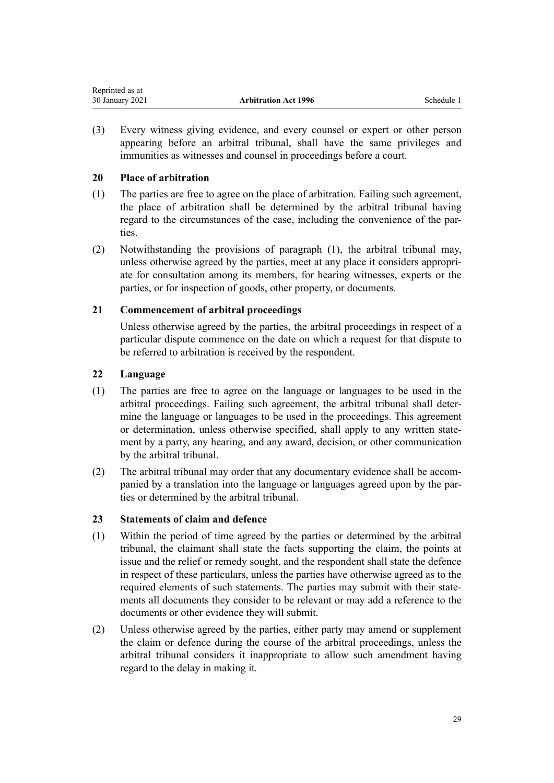<span id="page-28-0"></span>

| Reprinted as at |                             |            |
|-----------------|-----------------------------|------------|
| 30 January 2021 | <b>Arbitration Act 1996</b> | Schedule 1 |

(3) Every witness giving evidence, and every counsel or expert or other person appearing before an arbitral tribunal, shall have the same privileges and immunities as witnesses and counsel in proceedings before a court.

# **20 Place of arbitration**

- (1) The parties are free to agree on the place of arbitration. Failing such agreement, the place of arbitration shall be determined by the arbitral tribunal having regard to the circumstances of the case, including the convenience of the parties.
- (2) Notwithstanding the provisions of paragraph (1), the arbitral tribunal may, unless otherwise agreed by the parties, meet at any place it considers appropriate for consultation among its members, for hearing witnesses, experts or the parties, or for inspection of goods, other property, or documents.

# **21 Commencement of arbitral proceedings**

Unless otherwise agreed by the parties, the arbitral proceedings in respect of a particular dispute commence on the date on which a request for that dispute to be referred to arbitration is received by the respondent.

# **22 Language**

- (1) The parties are free to agree on the language or languages to be used in the arbitral proceedings. Failing such agreement, the arbitral tribunal shall determine the language or languages to be used in the proceedings. This agreement or determination, unless otherwise specified, shall apply to any written statement by a party, any hearing, and any award, decision, or other communication by the arbitral tribunal.
- (2) The arbitral tribunal may order that any documentary evidence shall be accompanied by a translation into the language or languages agreed upon by the parties or determined by the arbitral tribunal.

# **23 Statements of claim and defence**

- (1) Within the period of time agreed by the parties or determined by the arbitral tribunal, the claimant shall state the facts supporting the claim, the points at issue and the relief or remedy sought, and the respondent shall state the defence in respect of these particulars, unless the parties have otherwise agreed as to the required elements of such statements. The parties may submit with their statements all documents they consider to be relevant or may add a reference to the documents or other evidence they will submit.
- (2) Unless otherwise agreed by the parties, either party may amend or supplement the claim or defence during the course of the arbitral proceedings, unless the arbitral tribunal considers it inappropriate to allow such amendment having regard to the delay in making it.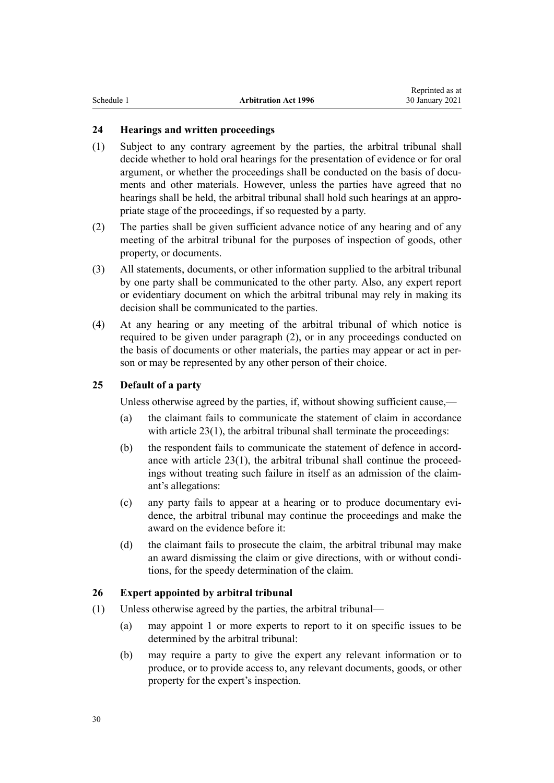## <span id="page-29-0"></span>**24 Hearings and written proceedings**

- (1) Subject to any contrary agreement by the parties, the arbitral tribunal shall decide whether to hold oral hearings for the presentation of evidence or for oral argument, or whether the proceedings shall be conducted on the basis of documents and other materials. However, unless the parties have agreed that no hearings shall be held, the arbitral tribunal shall hold such hearings at an appropriate stage of the proceedings, if so requested by a party.
- (2) The parties shall be given sufficient advance notice of any hearing and of any meeting of the arbitral tribunal for the purposes of inspection of goods, other property, or documents.
- (3) All statements, documents, or other information supplied to the arbitral tribunal by one party shall be communicated to the other party. Also, any expert report or evidentiary document on which the arbitral tribunal may rely in making its decision shall be communicated to the parties.
- (4) At any hearing or any meeting of the arbitral tribunal of which notice is required to be given under paragraph (2), or in any proceedings conducted on the basis of documents or other materials, the parties may appear or act in person or may be represented by any other person of their choice.

#### **25 Default of a party**

Unless otherwise agreed by the parties, if, without showing sufficient cause,—

- (a) the claimant fails to communicate the statement of claim in accordance with [article 23\(1\)](#page-28-0), the arbitral tribunal shall terminate the proceedings:
- (b) the respondent fails to communicate the statement of defence in accordance with [article 23\(1\)](#page-28-0), the arbitral tribunal shall continue the proceedings without treating such failure in itself as an admission of the claimant's allegations:
- (c) any party fails to appear at a hearing or to produce documentary evidence, the arbitral tribunal may continue the proceedings and make the award on the evidence before it:
- (d) the claimant fails to prosecute the claim, the arbitral tribunal may make an award dismissing the claim or give directions, with or without conditions, for the speedy determination of the claim.

#### **26 Expert appointed by arbitral tribunal**

- (1) Unless otherwise agreed by the parties, the arbitral tribunal—
	- (a) may appoint 1 or more experts to report to it on specific issues to be determined by the arbitral tribunal:
	- (b) may require a party to give the expert any relevant information or to produce, or to provide access to, any relevant documents, goods, or other property for the expert's inspection.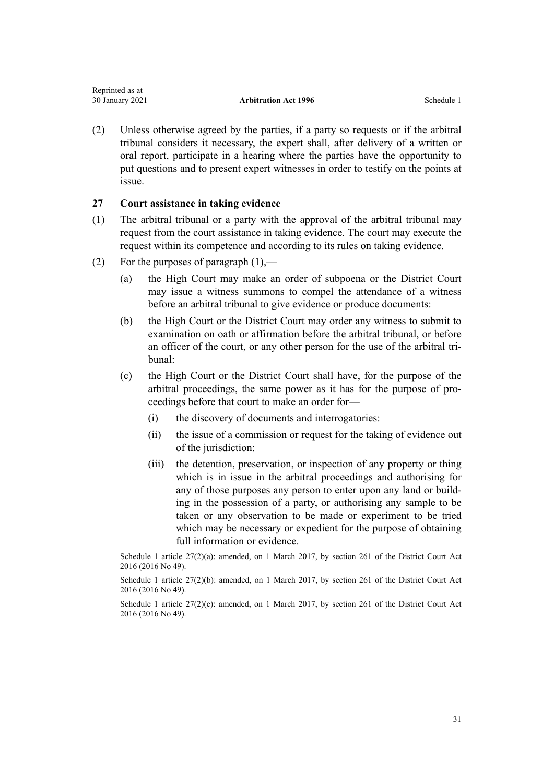| Reprinted as at |                             |            |
|-----------------|-----------------------------|------------|
| 30 January 2021 | <b>Arbitration Act 1996</b> | Schedule 1 |

(2) Unless otherwise agreed by the parties, if a party so requests or if the arbitral tribunal considers it necessary, the expert shall, after delivery of a written or oral report, participate in a hearing where the parties have the opportunity to put questions and to present expert witnesses in order to testify on the points at issue.

## **27 Court assistance in taking evidence**

<span id="page-30-0"></span>Representative as a set of the set of the set of the set of the set of the set of the set of the set of the set of the set of the set of the set of the set of the set of the set of the set of the set of the set of the set

- (1) The arbitral tribunal or a party with the approval of the arbitral tribunal may request from the court assistance in taking evidence. The court may execute the request within its competence and according to its rules on taking evidence.
- (2) For the purposes of paragraph  $(1)$ ,—
	- (a) the High Court may make an order of subpoena or the District Court may issue a witness summons to compel the attendance of a witness before an arbitral tribunal to give evidence or produce documents:
	- (b) the High Court or the District Court may order any witness to submit to examination on oath or affirmation before the arbitral tribunal, or before an officer of the court, or any other person for the use of the arbitral tribunal:
	- (c) the High Court or the District Court shall have, for the purpose of the arbitral proceedings, the same power as it has for the purpose of proceedings before that court to make an order for—
		- (i) the discovery of documents and interrogatories:
		- (ii) the issue of a commission or request for the taking of evidence out of the jurisdiction:
		- (iii) the detention, preservation, or inspection of any property or thing which is in issue in the arbitral proceedings and authorising for any of those purposes any person to enter upon any land or building in the possession of a party, or authorising any sample to be taken or any observation to be made or experiment to be tried which may be necessary or expedient for the purpose of obtaining full information or evidence.

Schedule 1 article 27(2)(a): amended, on 1 March 2017, by [section 261](http://legislation.govt.nz/pdflink.aspx?id=DLM6942680) of the District Court Act 2016 (2016 No 49).

Schedule 1 article 27(2)(b): amended, on 1 March 2017, by [section 261](http://legislation.govt.nz/pdflink.aspx?id=DLM6942680) of the District Court Act 2016 (2016 No 49).

Schedule 1 article 27(2)(c): amended, on 1 March 2017, by [section 261](http://legislation.govt.nz/pdflink.aspx?id=DLM6942680) of the District Court Act 2016 (2016 No 49).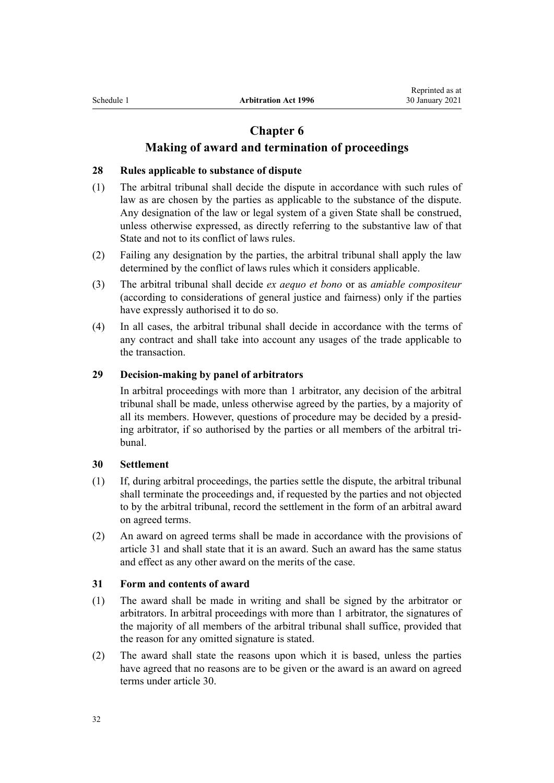# **Chapter 6**

# **Making of award and termination of proceedings**

## <span id="page-31-0"></span>**28 Rules applicable to substance of dispute**

- (1) The arbitral tribunal shall decide the dispute in accordance with such rules of law as are chosen by the parties as applicable to the substance of the dispute. Any designation of the law or legal system of a given State shall be construed, unless otherwise expressed, as directly referring to the substantive law of that State and not to its conflict of laws rules.
- (2) Failing any designation by the parties, the arbitral tribunal shall apply the law determined by the conflict of laws rules which it considers applicable.
- (3) The arbitral tribunal shall decide *ex aequo et bono* or as *amiable compositeur* (according to considerations of general justice and fairness) only if the parties have expressly authorised it to do so.
- (4) In all cases, the arbitral tribunal shall decide in accordance with the terms of any contract and shall take into account any usages of the trade applicable to the transaction.

## **29 Decision-making by panel of arbitrators**

In arbitral proceedings with more than 1 arbitrator, any decision of the arbitral tribunal shall be made, unless otherwise agreed by the parties, by a majority of all its members. However, questions of procedure may be decided by a presiding arbitrator, if so authorised by the parties or all members of the arbitral tribunal.

# **30 Settlement**

- (1) If, during arbitral proceedings, the parties settle the dispute, the arbitral tribunal shall terminate the proceedings and, if requested by the parties and not objected to by the arbitral tribunal, record the settlement in the form of an arbitral award on agreed terms.
- (2) An award on agreed terms shall be made in accordance with the provisions of article 31 and shall state that it is an award. Such an award has the same status and effect as any other award on the merits of the case.

# **31 Form and contents of award**

- (1) The award shall be made in writing and shall be signed by the arbitrator or arbitrators. In arbitral proceedings with more than 1 arbitrator, the signatures of the majority of all members of the arbitral tribunal shall suffice, provided that the reason for any omitted signature is stated.
- (2) The award shall state the reasons upon which it is based, unless the parties have agreed that no reasons are to be given or the award is an award on agreed terms under article 30.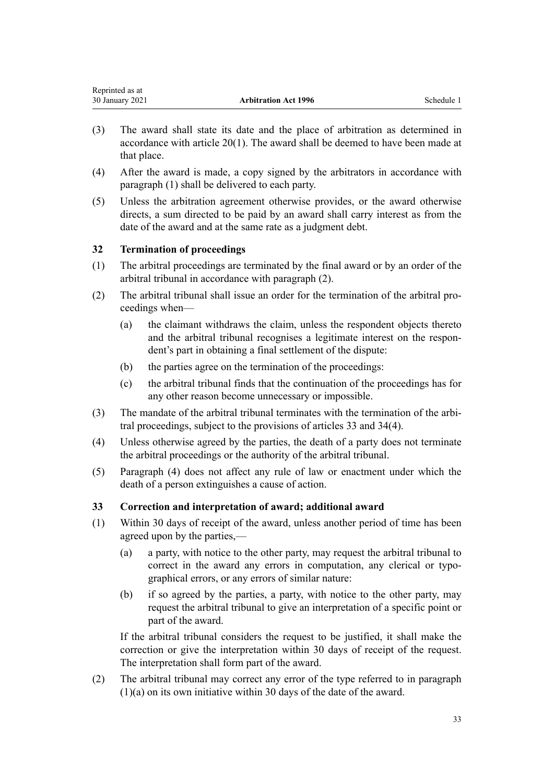<span id="page-32-0"></span>

| Reprinted as at |                             |            |
|-----------------|-----------------------------|------------|
| 30 January 2021 | <b>Arbitration Act 1996</b> | Schedule 1 |

- (3) The award shall state its date and the place of arbitration as determined in accordance with [article 20\(1\).](#page-28-0) The award shall be deemed to have been made at that place.
- (4) After the award is made, a copy signed by the arbitrators in accordance with paragraph (1) shall be delivered to each party.
- (5) Unless the arbitration agreement otherwise provides, or the award otherwise directs, a sum directed to be paid by an award shall carry interest as from the date of the award and at the same rate as a judgment debt.

# **32 Termination of proceedings**

- (1) The arbitral proceedings are terminated by the final award or by an order of the arbitral tribunal in accordance with paragraph (2).
- (2) The arbitral tribunal shall issue an order for the termination of the arbitral proceedings when—
	- (a) the claimant withdraws the claim, unless the respondent objects thereto and the arbitral tribunal recognises a legitimate interest on the respondent's part in obtaining a final settlement of the dispute:
	- (b) the parties agree on the termination of the proceedings:
	- (c) the arbitral tribunal finds that the continuation of the proceedings has for any other reason become unnecessary or impossible.
- (3) The mandate of the arbitral tribunal terminates with the termination of the arbitral proceedings, subject to the provisions of articles 33 and [34\(4\)](#page-33-0).
- (4) Unless otherwise agreed by the parties, the death of a party does not terminate the arbitral proceedings or the authority of the arbitral tribunal.
- (5) Paragraph (4) does not affect any rule of law or enactment under which the death of a person extinguishes a cause of action.

# **33 Correction and interpretation of award; additional award**

- (1) Within 30 days of receipt of the award, unless another period of time has been agreed upon by the parties,—
	- (a) a party, with notice to the other party, may request the arbitral tribunal to correct in the award any errors in computation, any clerical or typographical errors, or any errors of similar nature:
	- (b) if so agreed by the parties, a party, with notice to the other party, may request the arbitral tribunal to give an interpretation of a specific point or part of the award.

If the arbitral tribunal considers the request to be justified, it shall make the correction or give the interpretation within 30 days of receipt of the request. The interpretation shall form part of the award.

(2) The arbitral tribunal may correct any error of the type referred to in paragraph (1)(a) on its own initiative within 30 days of the date of the award.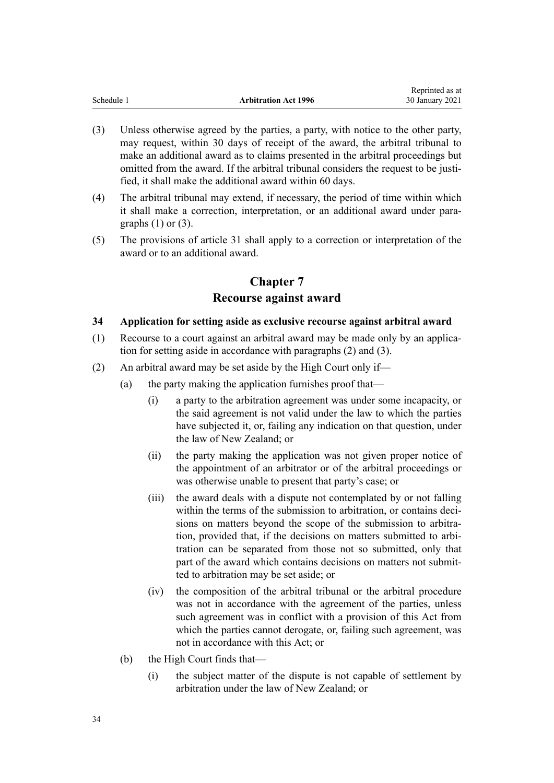<span id="page-33-0"></span>

| Schedule 1 | <b>Arbitration Act 1996</b> | <i>respective as at</i><br>30 January 2021 |
|------------|-----------------------------|--------------------------------------------|
|            |                             |                                            |

Reprinted as at

- (3) Unless otherwise agreed by the parties, a party, with notice to the other party, may request, within 30 days of receipt of the award, the arbitral tribunal to make an additional award as to claims presented in the arbitral proceedings but omitted from the award. If the arbitral tribunal considers the request to be justified, it shall make the additional award within 60 days.
- (4) The arbitral tribunal may extend, if necessary, the period of time within which it shall make a correction, interpretation, or an additional award under paragraphs  $(1)$  or  $(3)$ .
- (5) The provisions of [article 31](#page-31-0) shall apply to a correction or interpretation of the award or to an additional award.

# **Chapter 7 Recourse against award**

## **34 Application for setting aside as exclusive recourse against arbitral award**

- (1) Recourse to a court against an arbitral award may be made only by an application for setting aside in accordance with paragraphs (2) and (3).
- (2) An arbitral award may be set aside by the High Court only if—
	- (a) the party making the application furnishes proof that—
		- (i) a party to the arbitration agreement was under some incapacity, or the said agreement is not valid under the law to which the parties have subjected it, or, failing any indication on that question, under the law of New Zealand; or
		- (ii) the party making the application was not given proper notice of the appointment of an arbitrator or of the arbitral proceedings or was otherwise unable to present that party's case; or
		- (iii) the award deals with a dispute not contemplated by or not falling within the terms of the submission to arbitration, or contains decisions on matters beyond the scope of the submission to arbitration, provided that, if the decisions on matters submitted to arbitration can be separated from those not so submitted, only that part of the award which contains decisions on matters not submitted to arbitration may be set aside; or
		- (iv) the composition of the arbitral tribunal or the arbitral procedure was not in accordance with the agreement of the parties, unless such agreement was in conflict with a provision of this Act from which the parties cannot derogate, or, failing such agreement, was not in accordance with this Act; or
	- (b) the High Court finds that—
		- (i) the subject matter of the dispute is not capable of settlement by arbitration under the law of New Zealand; or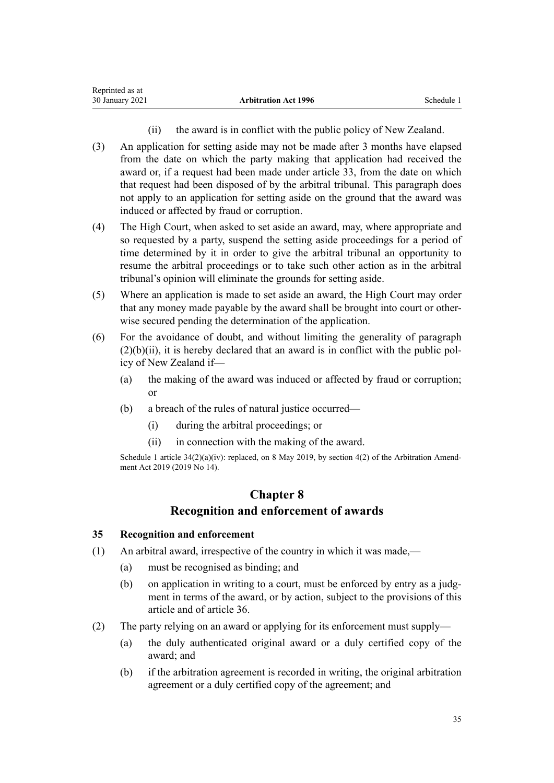(ii) the award is in conflict with the public policy of New Zealand.

- <span id="page-34-0"></span>(3) An application for setting aside may not be made after 3 months have elapsed from the date on which the party making that application had received the award or, if a request had been made under [article 33](#page-32-0), from the date on which that request had been disposed of by the arbitral tribunal. This paragraph does not apply to an application for setting aside on the ground that the award was induced or affected by fraud or corruption.
- (4) The High Court, when asked to set aside an award, may, where appropriate and so requested by a party, suspend the setting aside proceedings for a period of time determined by it in order to give the arbitral tribunal an opportunity to resume the arbitral proceedings or to take such other action as in the arbitral tribunal's opinion will eliminate the grounds for setting aside.
- (5) Where an application is made to set aside an award, the High Court may order that any money made payable by the award shall be brought into court or otherwise secured pending the determination of the application.
- (6) For the avoidance of doubt, and without limiting the generality of paragraph  $(2)(b)(ii)$ , it is hereby declared that an award is in conflict with the public policy of New Zealand if—
	- (a) the making of the award was induced or affected by fraud or corruption; or
	- (b) a breach of the rules of natural justice occurred—
		- (i) during the arbitral proceedings; or
		- (ii) in connection with the making of the award.

Schedule 1 article  $34(2)(a)(iv)$ : replaced, on 8 May 2019, by [section 4\(2\)](http://legislation.govt.nz/pdflink.aspx?id=DLM7153613) of the Arbitration Amendment Act 2019 (2019 No 14).

# **Chapter 8 Recognition and enforcement of awards**

# **35 Recognition and enforcement**

- (1) An arbitral award, irrespective of the country in which it was made,—
	- (a) must be recognised as binding; and
	- (b) on application in writing to a court, must be enforced by entry as a judgment in terms of the award, or by action, subject to the provisions of this article and of [article 36.](#page-35-0)
- (2) The party relying on an award or applying for its enforcement must supply—
	- (a) the duly authenticated original award or a duly certified copy of the award; and
	- (b) if the arbitration agreement is recorded in writing, the original arbitration agreement or a duly certified copy of the agreement; and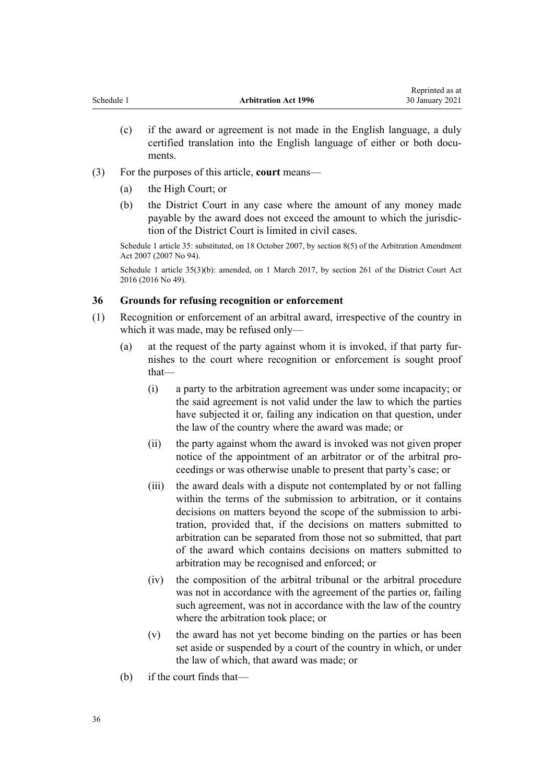- <span id="page-35-0"></span>(c) if the award or agreement is not made in the English language, a duly certified translation into the English language of either or both documents.
- (3) For the purposes of this article, **court** means—
	- (a) the High Court; or
	- (b) the District Court in any case where the amount of any money made payable by the award does not exceed the amount to which the jurisdiction of the District Court is limited in civil cases.

Schedule 1 article 35: substituted, on 18 October 2007, by [section 8\(5\)](http://legislation.govt.nz/pdflink.aspx?id=DLM970225) of the Arbitration Amendment Act 2007 (2007 No 94).

Schedule 1 article 35(3)(b): amended, on 1 March 2017, by [section 261](http://legislation.govt.nz/pdflink.aspx?id=DLM6942680) of the District Court Act 2016 (2016 No 49).

#### **36 Grounds for refusing recognition or enforcement**

- (1) Recognition or enforcement of an arbitral award, irrespective of the country in which it was made, may be refused only—
	- (a) at the request of the party against whom it is invoked, if that party furnishes to the court where recognition or enforcement is sought proof that—
		- (i) a party to the arbitration agreement was under some incapacity; or the said agreement is not valid under the law to which the parties have subjected it or, failing any indication on that question, under the law of the country where the award was made; or
		- (ii) the party against whom the award is invoked was not given proper notice of the appointment of an arbitrator or of the arbitral proceedings or was otherwise unable to present that party's case; or
		- (iii) the award deals with a dispute not contemplated by or not falling within the terms of the submission to arbitration, or it contains decisions on matters beyond the scope of the submission to arbitration, provided that, if the decisions on matters submitted to arbitration can be separated from those not so submitted, that part of the award which contains decisions on matters submitted to arbitration may be recognised and enforced; or
		- (iv) the composition of the arbitral tribunal or the arbitral procedure was not in accordance with the agreement of the parties or, failing such agreement, was not in accordance with the law of the country where the arbitration took place; or
		- (v) the award has not yet become binding on the parties or has been set aside or suspended by a court of the country in which, or under the law of which, that award was made; or
	- (b) if the court finds that—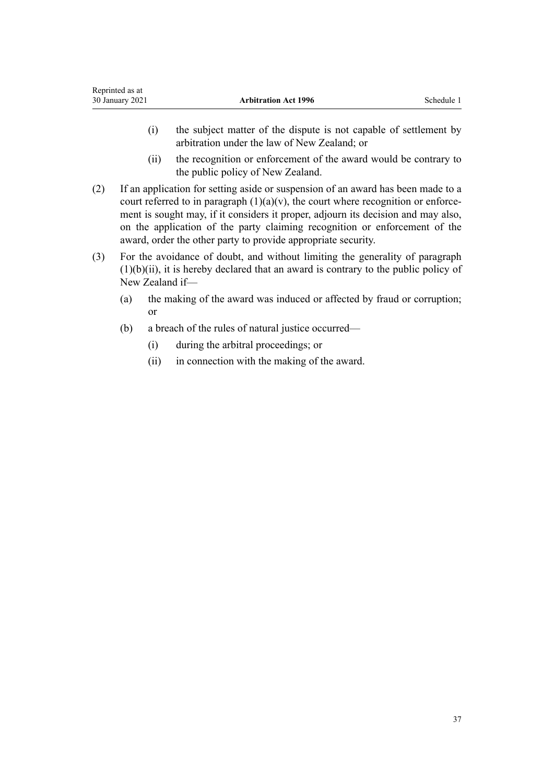- (i) the subject matter of the dispute is not capable of settlement by arbitration under the law of New Zealand; or
- (ii) the recognition or enforcement of the award would be contrary to the public policy of New Zealand.
- (2) If an application for setting aside or suspension of an award has been made to a court referred to in paragraph  $(1)(a)(v)$ , the court where recognition or enforcement is sought may, if it considers it proper, adjourn its decision and may also, on the application of the party claiming recognition or enforcement of the award, order the other party to provide appropriate security.
- (3) For the avoidance of doubt, and without limiting the generality of paragraph  $(1)(b)(ii)$ , it is hereby declared that an award is contrary to the public policy of New Zealand if—
	- (a) the making of the award was induced or affected by fraud or corruption; or
	- (b) a breach of the rules of natural justice occurred—
		- (i) during the arbitral proceedings; or
		- (ii) in connection with the making of the award.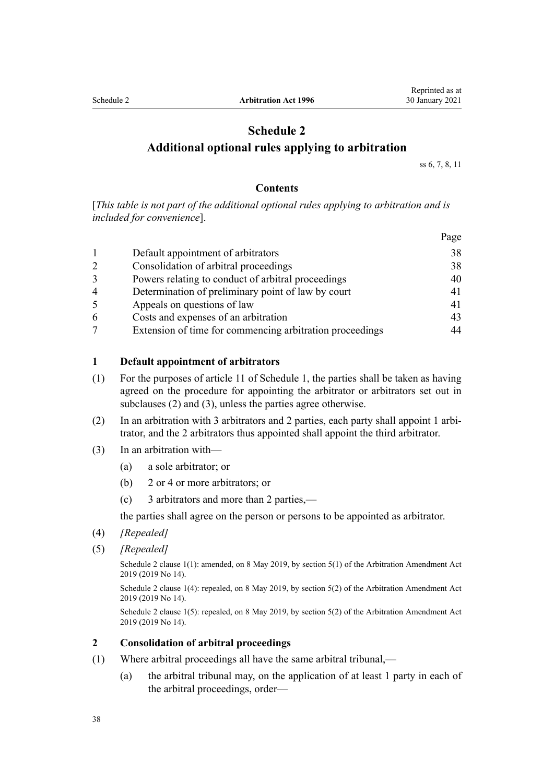# <span id="page-37-0"></span>**Schedule 2 Additional optional rules applying to arbitration**

[ss 6, 7, 8,](#page-4-0) [11](#page-5-0)

 $\mathbf{p}$ 

#### **Contents**

[*This table is not part of the additional optional rules applying to arbitration and is included for convenience*].

|                |                                                          | rage |
|----------------|----------------------------------------------------------|------|
|                | Default appointment of arbitrators                       | 38   |
| 2              | Consolidation of arbitral proceedings                    | 38   |
| $\overline{3}$ | Powers relating to conduct of arbitral proceedings       | 40   |
| $\overline{4}$ | Determination of preliminary point of law by court       | 41   |
| 5              | Appeals on questions of law                              | 41   |
| 6              | Costs and expenses of an arbitration                     | 43   |
|                | Extension of time for commencing arbitration proceedings | 44   |
|                |                                                          |      |

## **1 Default appointment of arbitrators**

- (1) For the purposes of [article 11](#page-18-0) of Schedule 1, the parties shall be taken as having agreed on the procedure for appointing the arbitrator or arbitrators set out in subclauses (2) and (3), unless the parties agree otherwise.
- (2) In an arbitration with 3 arbitrators and 2 parties, each party shall appoint 1 arbitrator, and the 2 arbitrators thus appointed shall appoint the third arbitrator.
- (3) In an arbitration with—
	- (a) a sole arbitrator; or
	- (b) 2 or 4 or more arbitrators; or
	- (c) 3 arbitrators and more than 2 parties,—

the parties shall agree on the person or persons to be appointed as arbitrator.

- (4) *[Repealed]*
- (5) *[Repealed]*

Schedule 2 clause 1(1): amended, on 8 May 2019, by [section 5\(1\)](http://legislation.govt.nz/pdflink.aspx?id=LMS182761) of the Arbitration Amendment Act 2019 (2019 No 14).

Schedule 2 clause 1(4): repealed, on 8 May 2019, by [section 5\(2\)](http://legislation.govt.nz/pdflink.aspx?id=LMS182761) of the Arbitration Amendment Act 2019 (2019 No 14).

Schedule 2 clause 1(5): repealed, on 8 May 2019, by [section 5\(2\)](http://legislation.govt.nz/pdflink.aspx?id=LMS182761) of the Arbitration Amendment Act 2019 (2019 No 14).

#### **2 Consolidation of arbitral proceedings**

- (1) Where arbitral proceedings all have the same arbitral tribunal,—
	- (a) the arbitral tribunal may, on the application of at least 1 party in each of the arbitral proceedings, order—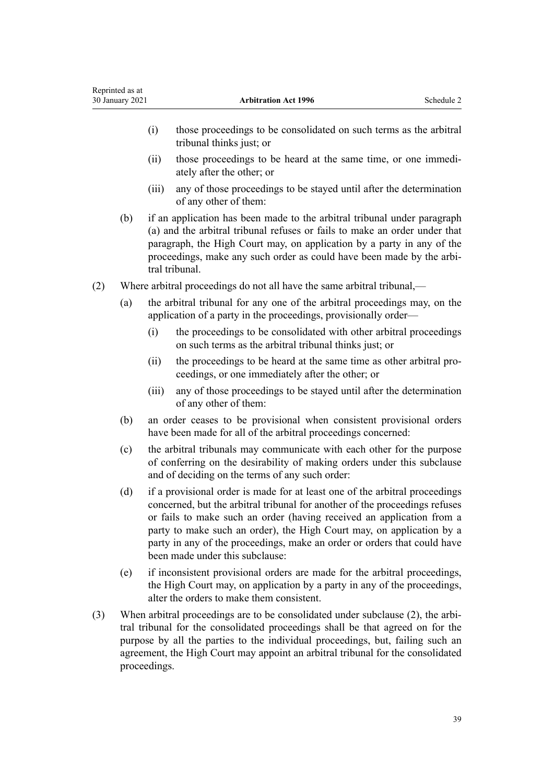|     |                                                                         |       | those proceedings to be consonanced on sach terms as the aroman<br>tribunal thinks just; or                                                                                                                                                                                                                                 |
|-----|-------------------------------------------------------------------------|-------|-----------------------------------------------------------------------------------------------------------------------------------------------------------------------------------------------------------------------------------------------------------------------------------------------------------------------------|
|     |                                                                         | (ii)  | those proceedings to be heard at the same time, or one immedi-<br>ately after the other; or                                                                                                                                                                                                                                 |
|     |                                                                         | (iii) | any of those proceedings to be stayed until after the determination<br>of any other of them:                                                                                                                                                                                                                                |
|     | (b)                                                                     |       | if an application has been made to the arbitral tribunal under paragraph<br>(a) and the arbitral tribunal refuses or fails to make an order under that<br>paragraph, the High Court may, on application by a party in any of the<br>proceedings, make any such order as could have been made by the arbi-<br>tral tribunal. |
| (2) | Where arbitral proceedings do not all have the same arbitral tribunal,— |       |                                                                                                                                                                                                                                                                                                                             |
| (a) |                                                                         |       | the arbitral tribunal for any one of the arbitral proceedings may, on the<br>application of a party in the proceedings, provisionally order—                                                                                                                                                                                |
|     |                                                                         | (i)   | the proceedings to be consolidated with other arbitral proceedings<br>on such terms as the arbitral tribunal thinks just; or                                                                                                                                                                                                |
|     |                                                                         | (11)  | the proceedings to be heard at the same time as other arbitral pro-                                                                                                                                                                                                                                                         |

30 January 2021 **Arbitration Act 1996** Schedule 2

Reprinted as at

(ii) the proceedings to be heard at the same time as other arbitral proceedings, or one immediately after the other; or

(i) those proceedings to be consolidated on such terms as the arbitral

- (iii) any of those proceedings to be stayed until after the determination of any other of them:
- (b) an order ceases to be provisional when consistent provisional orders have been made for all of the arbitral proceedings concerned:
- (c) the arbitral tribunals may communicate with each other for the purpose of conferring on the desirability of making orders under this subclause and of deciding on the terms of any such order:
- (d) if a provisional order is made for at least one of the arbitral proceedings concerned, but the arbitral tribunal for another of the proceedings refuses or fails to make such an order (having received an application from a party to make such an order), the High Court may, on application by a party in any of the proceedings, make an order or orders that could have been made under this subclause:
- (e) if inconsistent provisional orders are made for the arbitral proceedings, the High Court may, on application by a party in any of the proceedings, alter the orders to make them consistent.
- (3) When arbitral proceedings are to be consolidated under subclause (2), the arbitral tribunal for the consolidated proceedings shall be that agreed on for the purpose by all the parties to the individual proceedings, but, failing such an agreement, the High Court may appoint an arbitral tribunal for the consolidated proceedings.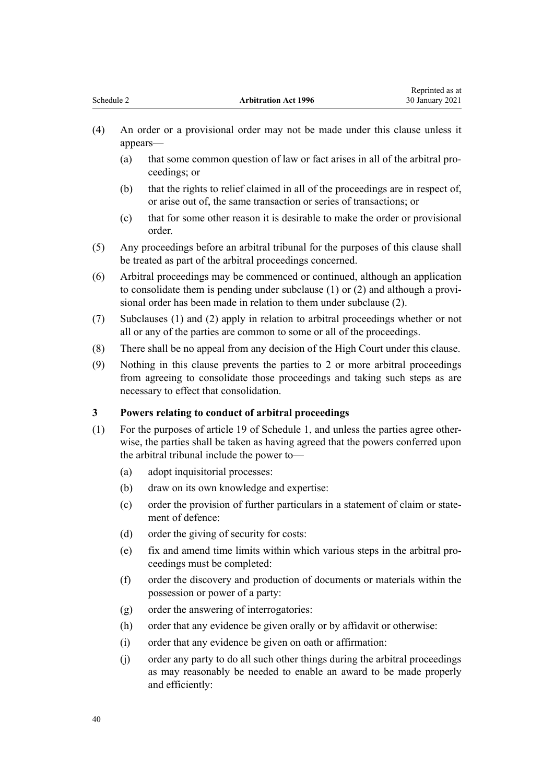- <span id="page-39-0"></span>(4) An order or a provisional order may not be made under this clause unless it appears—
	- (a) that some common question of law or fact arises in all of the arbitral proceedings; or

Reprinted as at

- (b) that the rights to relief claimed in all of the proceedings are in respect of, or arise out of, the same transaction or series of transactions; or
- (c) that for some other reason it is desirable to make the order or provisional order.
- (5) Any proceedings before an arbitral tribunal for the purposes of this clause shall be treated as part of the arbitral proceedings concerned.
- (6) Arbitral proceedings may be commenced or continued, although an application to consolidate them is pending under subclause (1) or (2) and although a provisional order has been made in relation to them under subclause (2).
- (7) Subclauses (1) and (2) apply in relation to arbitral proceedings whether or not all or any of the parties are common to some or all of the proceedings.
- (8) There shall be no appeal from any decision of the High Court under this clause.
- (9) Nothing in this clause prevents the parties to 2 or more arbitral proceedings from agreeing to consolidate those proceedings and taking such steps as are necessary to effect that consolidation.

# **3 Powers relating to conduct of arbitral proceedings**

- (1) For the purposes of [article 19](#page-27-0) of Schedule 1, and unless the parties agree otherwise, the parties shall be taken as having agreed that the powers conferred upon the arbitral tribunal include the power to—
	- (a) adopt inquisitorial processes:
	- (b) draw on its own knowledge and expertise:
	- (c) order the provision of further particulars in a statement of claim or statement of defence:
	- (d) order the giving of security for costs:
	- (e) fix and amend time limits within which various steps in the arbitral proceedings must be completed:
	- (f) order the discovery and production of documents or materials within the possession or power of a party:
	- (g) order the answering of interrogatories:
	- (h) order that any evidence be given orally or by affidavit or otherwise:
	- (i) order that any evidence be given on oath or affirmation:
	- (j) order any party to do all such other things during the arbitral proceedings as may reasonably be needed to enable an award to be made properly and efficiently: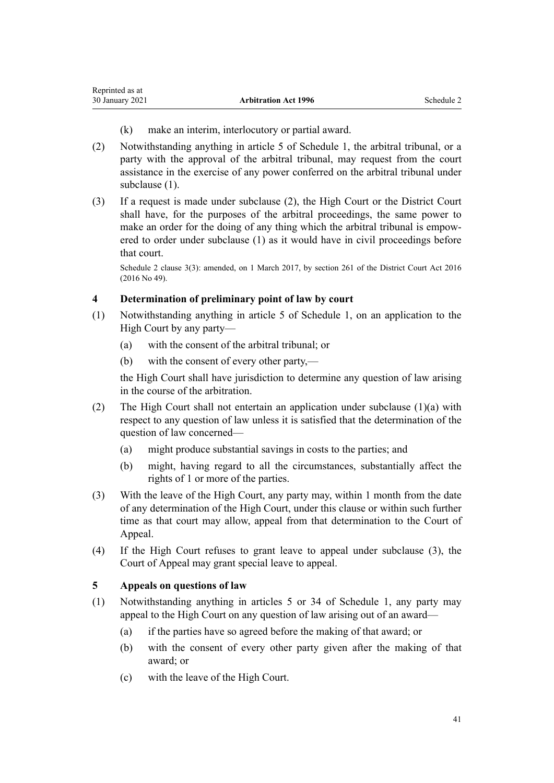- (k) make an interim, interlocutory or partial award.
- <span id="page-40-0"></span>(2) Notwithstanding anything in [article 5](#page-17-0) of Schedule 1, the arbitral tribunal, or a party with the approval of the arbitral tribunal, may request from the court assistance in the exercise of any power conferred on the arbitral tribunal under subclause (1).
- (3) If a request is made under subclause (2), the High Court or the District Court shall have, for the purposes of the arbitral proceedings, the same power to make an order for the doing of any thing which the arbitral tribunal is empowered to order under subclause (1) as it would have in civil proceedings before that court.

Schedule 2 clause 3(3): amended, on 1 March 2017, by [section 261](http://legislation.govt.nz/pdflink.aspx?id=DLM6942680) of the District Court Act 2016 (2016 No 49).

# **4 Determination of preliminary point of law by court**

- (1) Notwithstanding anything in [article 5](#page-17-0) of Schedule 1, on an application to the High Court by any party—
	- (a) with the consent of the arbitral tribunal; or
	- (b) with the consent of every other party,—

the High Court shall have jurisdiction to determine any question of law arising in the course of the arbitration.

- (2) The High Court shall not entertain an application under subclause  $(1)(a)$  with respect to any question of law unless it is satisfied that the determination of the question of law concerned—
	- (a) might produce substantial savings in costs to the parties; and
	- (b) might, having regard to all the circumstances, substantially affect the rights of 1 or more of the parties.
- (3) With the leave of the High Court, any party may, within 1 month from the date of any determination of the High Court, under this clause or within such further time as that court may allow, appeal from that determination to the Court of Appeal.
- (4) If the High Court refuses to grant leave to appeal under subclause (3), the Court of Appeal may grant special leave to appeal.

## **5 Appeals on questions of law**

- (1) Notwithstanding anything in [articles 5](#page-17-0) or [34](#page-33-0) of Schedule 1, any party may appeal to the High Court on any question of law arising out of an award—
	- (a) if the parties have so agreed before the making of that award; or
	- (b) with the consent of every other party given after the making of that award; or
	- (c) with the leave of the High Court.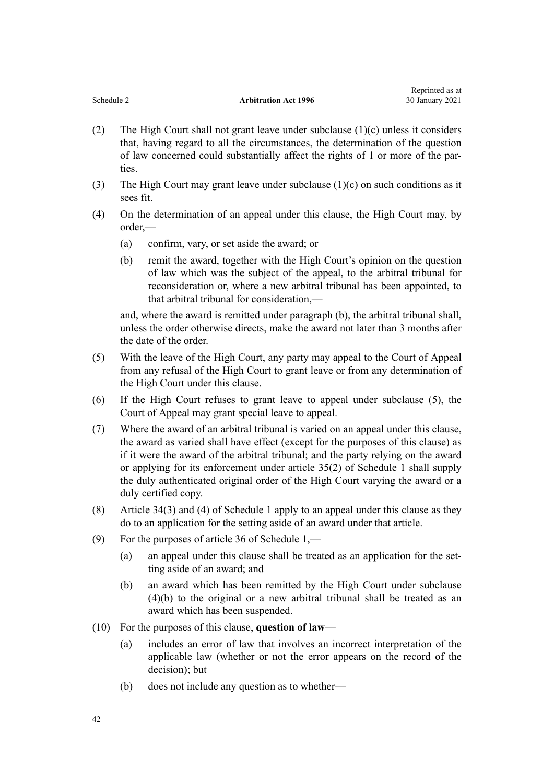| Schedule 2 | <b>Arbitration Act 1996</b> | 30 January 2021 |
|------------|-----------------------------|-----------------|
|            |                             |                 |

Reprinted as at

- (2) The High Court shall not grant leave under subclause (1)(c) unless it considers that, having regard to all the circumstances, the determination of the question of law concerned could substantially affect the rights of 1 or more of the parties.
- (3) The High Court may grant leave under subclause  $(1)(c)$  on such conditions as it sees fit.
- (4) On the determination of an appeal under this clause, the High Court may, by order,—
	- (a) confirm, vary, or set aside the award; or
	- (b) remit the award, together with the High Court's opinion on the question of law which was the subject of the appeal, to the arbitral tribunal for reconsideration or, where a new arbitral tribunal has been appointed, to that arbitral tribunal for consideration,—

and, where the award is remitted under paragraph (b), the arbitral tribunal shall, unless the order otherwise directs, make the award not later than 3 months after the date of the order.

- (5) With the leave of the High Court, any party may appeal to the Court of Appeal from any refusal of the High Court to grant leave or from any determination of the High Court under this clause.
- (6) If the High Court refuses to grant leave to appeal under subclause (5), the Court of Appeal may grant special leave to appeal.
- (7) Where the award of an arbitral tribunal is varied on an appeal under this clause, the award as varied shall have effect (except for the purposes of this clause) as if it were the award of the arbitral tribunal; and the party relying on the award or applying for its enforcement under [article 35\(2\)](#page-34-0) of Schedule 1 shall supply the duly authenticated original order of the High Court varying the award or a duly certified copy.
- (8) [Article 34\(3\) and \(4\)](#page-33-0) of Schedule 1 apply to an appeal under this clause as they do to an application for the setting aside of an award under that article.
- (9) For the purposes of [article 36](#page-35-0) of Schedule 1,—
	- (a) an appeal under this clause shall be treated as an application for the setting aside of an award; and
	- (b) an award which has been remitted by the High Court under subclause (4)(b) to the original or a new arbitral tribunal shall be treated as an award which has been suspended.
- (10) For the purposes of this clause, **question of law**
	- (a) includes an error of law that involves an incorrect interpretation of the applicable law (whether or not the error appears on the record of the decision); but
	- (b) does not include any question as to whether—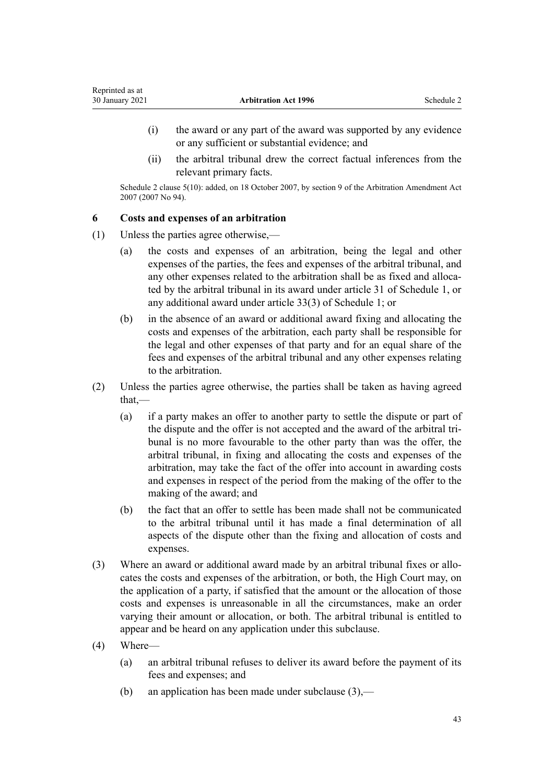- <span id="page-42-0"></span>(i) the award or any part of the award was supported by any evidence or any sufficient or substantial evidence; and
- (ii) the arbitral tribunal drew the correct factual inferences from the relevant primary facts.

Schedule 2 clause 5(10): added, on 18 October 2007, by [section 9](http://legislation.govt.nz/pdflink.aspx?id=DLM970260) of the Arbitration Amendment Act 2007 (2007 No 94).

## **6 Costs and expenses of an arbitration**

- (1) Unless the parties agree otherwise,—
	- (a) the costs and expenses of an arbitration, being the legal and other expenses of the parties, the fees and expenses of the arbitral tribunal, and any other expenses related to the arbitration shall be as fixed and allocated by the arbitral tribunal in its award under [article 31](#page-32-0) of Schedule 1, or any additional award under [article 33\(3\)](#page-32-0) of Schedule 1; or
	- (b) in the absence of an award or additional award fixing and allocating the costs and expenses of the arbitration, each party shall be responsible for the legal and other expenses of that party and for an equal share of the fees and expenses of the arbitral tribunal and any other expenses relating to the arbitration.
- (2) Unless the parties agree otherwise, the parties shall be taken as having agreed that,—
	- (a) if a party makes an offer to another party to settle the dispute or part of the dispute and the offer is not accepted and the award of the arbitral tribunal is no more favourable to the other party than was the offer, the arbitral tribunal, in fixing and allocating the costs and expenses of the arbitration, may take the fact of the offer into account in awarding costs and expenses in respect of the period from the making of the offer to the making of the award; and
	- (b) the fact that an offer to settle has been made shall not be communicated to the arbitral tribunal until it has made a final determination of all aspects of the dispute other than the fixing and allocation of costs and expenses.
- (3) Where an award or additional award made by an arbitral tribunal fixes or allocates the costs and expenses of the arbitration, or both, the High Court may, on the application of a party, if satisfied that the amount or the allocation of those costs and expenses is unreasonable in all the circumstances, make an order varying their amount or allocation, or both. The arbitral tribunal is entitled to appear and be heard on any application under this subclause.
- (4) Where—
	- (a) an arbitral tribunal refuses to deliver its award before the payment of its fees and expenses; and
	- (b) an application has been made under subclause (3),—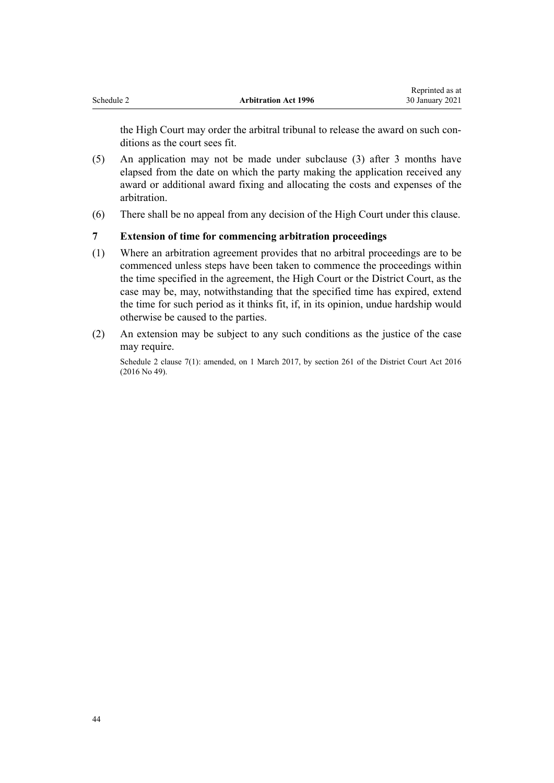<span id="page-43-0"></span>the High Court may order the arbitral tribunal to release the award on such conditions as the court sees fit.

- (5) An application may not be made under subclause (3) after 3 months have elapsed from the date on which the party making the application received any award or additional award fixing and allocating the costs and expenses of the arbitration.
- (6) There shall be no appeal from any decision of the High Court under this clause.

#### **7 Extension of time for commencing arbitration proceedings**

- (1) Where an arbitration agreement provides that no arbitral proceedings are to be commenced unless steps have been taken to commence the proceedings within the time specified in the agreement, the High Court or the District Court, as the case may be, may, notwithstanding that the specified time has expired, extend the time for such period as it thinks fit, if, in its opinion, undue hardship would otherwise be caused to the parties.
- (2) An extension may be subject to any such conditions as the justice of the case may require.

Schedule 2 clause 7(1): amended, on 1 March 2017, by [section 261](http://legislation.govt.nz/pdflink.aspx?id=DLM6942680) of the District Court Act 2016 (2016 No 49).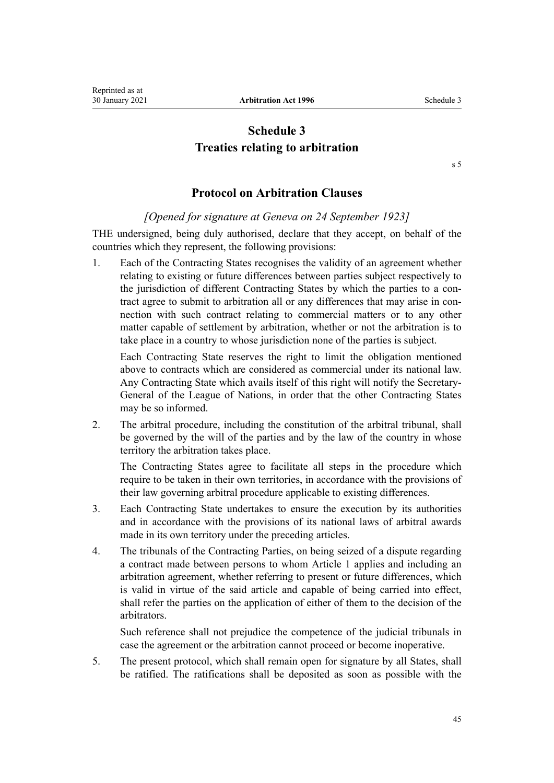# <span id="page-44-0"></span>**Schedule 3 Treaties relating to arbitration**

[s 5](#page-3-0)

# **Protocol on Arbitration Clauses**

#### *[Opened for signature at Geneva on 24 September 1923]*

THE undersigned, being duly authorised, declare that they accept, on behalf of the countries which they represent, the following provisions:

1. Each of the Contracting States recognises the validity of an agreement whether relating to existing or future differences between parties subject respectively to the jurisdiction of different Contracting States by which the parties to a contract agree to submit to arbitration all or any differences that may arise in connection with such contract relating to commercial matters or to any other matter capable of settlement by arbitration, whether or not the arbitration is to take place in a country to whose jurisdiction none of the parties is subject.

Each Contracting State reserves the right to limit the obligation mentioned above to contracts which are considered as commercial under its national law. Any Contracting State which avails itself of this right will notify the Secretary-General of the League of Nations, in order that the other Contracting States may be so informed.

2. The arbitral procedure, including the constitution of the arbitral tribunal, shall be governed by the will of the parties and by the law of the country in whose territory the arbitration takes place.

The Contracting States agree to facilitate all steps in the procedure which require to be taken in their own territories, in accordance with the provisions of their law governing arbitral procedure applicable to existing differences.

- 3. Each Contracting State undertakes to ensure the execution by its authorities and in accordance with the provisions of its national laws of arbitral awards made in its own territory under the preceding articles.
- 4. The tribunals of the Contracting Parties, on being seized of a dispute regarding a contract made between persons to whom Article 1 applies and including an arbitration agreement, whether referring to present or future differences, which is valid in virtue of the said article and capable of being carried into effect, shall refer the parties on the application of either of them to the decision of the arbitrators.

Such reference shall not prejudice the competence of the judicial tribunals in case the agreement or the arbitration cannot proceed or become inoperative.

5. The present protocol, which shall remain open for signature by all States, shall be ratified. The ratifications shall be deposited as soon as possible with the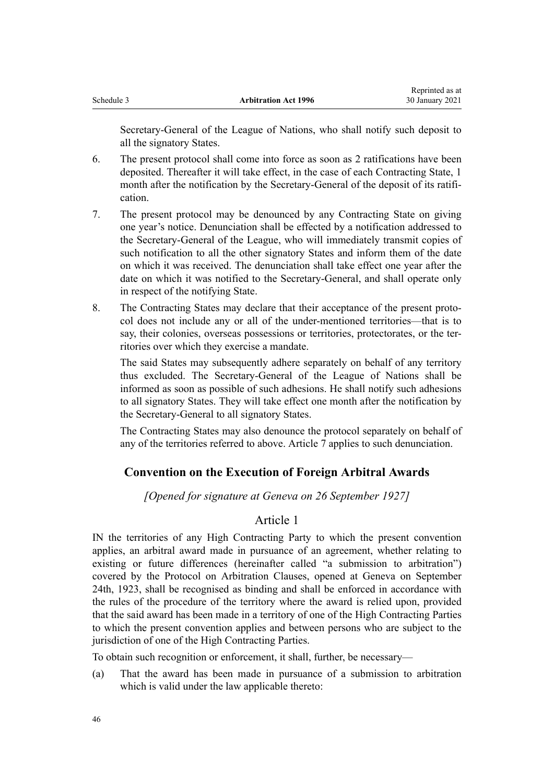Secretary-General of the League of Nations, who shall notify such deposit to all the signatory States.

Reprinted as at

- 6. The present protocol shall come into force as soon as 2 ratifications have been deposited. Thereafter it will take effect, in the case of each Contracting State, 1 month after the notification by the Secretary-General of the deposit of its ratification.
- 7. The present protocol may be denounced by any Contracting State on giving one year's notice. Denunciation shall be effected by a notification addressed to the Secretary-General of the League, who will immediately transmit copies of such notification to all the other signatory States and inform them of the date on which it was received. The denunciation shall take effect one year after the date on which it was notified to the Secretary-General, and shall operate only in respect of the notifying State.
- 8. The Contracting States may declare that their acceptance of the present protocol does not include any or all of the under-mentioned territories—that is to say, their colonies, overseas possessions or territories, protectorates, or the territories over which they exercise a mandate.

The said States may subsequently adhere separately on behalf of any territory thus excluded. The Secretary-General of the League of Nations shall be informed as soon as possible of such adhesions. He shall notify such adhesions to all signatory States. They will take effect one month after the notification by the Secretary-General to all signatory States.

The Contracting States may also denounce the protocol separately on behalf of any of the territories referred to above. Article 7 applies to such denunciation.

# **Convention on the Execution of Foreign Arbitral Awards**

*[Opened for signature at Geneva on 26 September 1927]*

# Article 1

IN the territories of any High Contracting Party to which the present convention applies, an arbitral award made in pursuance of an agreement, whether relating to existing or future differences (hereinafter called "a submission to arbitration") covered by the Protocol on Arbitration Clauses, opened at Geneva on September 24th, 1923, shall be recognised as binding and shall be enforced in accordance with the rules of the procedure of the territory where the award is relied upon, provided that the said award has been made in a territory of one of the High Contracting Parties to which the present convention applies and between persons who are subject to the jurisdiction of one of the High Contracting Parties.

To obtain such recognition or enforcement, it shall, further, be necessary—

(a) That the award has been made in pursuance of a submission to arbitration which is valid under the law applicable thereto: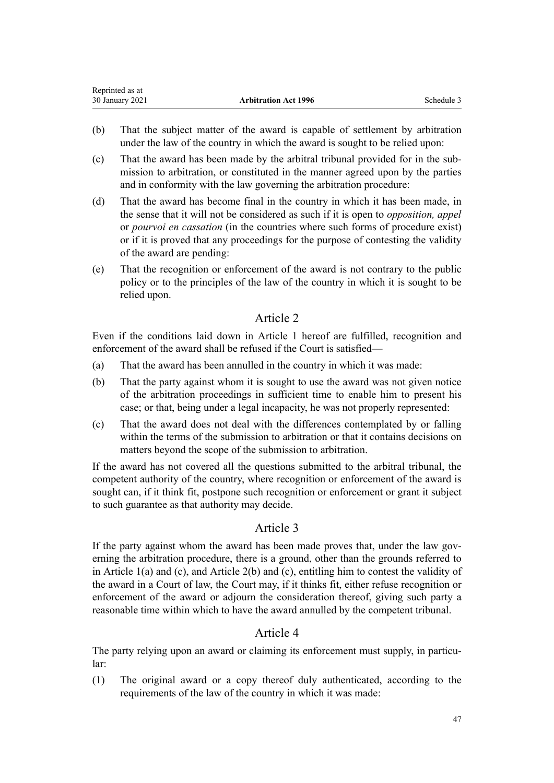| Reprinted as at |                             |            |
|-----------------|-----------------------------|------------|
| 30 January 2021 | <b>Arbitration Act 1996</b> | Schedule 3 |

- (b) That the subject matter of the award is capable of settlement by arbitration under the law of the country in which the award is sought to be relied upon:
- (c) That the award has been made by the arbitral tribunal provided for in the submission to arbitration, or constituted in the manner agreed upon by the parties and in conformity with the law governing the arbitration procedure:
- (d) That the award has become final in the country in which it has been made, in the sense that it will not be considered as such if it is open to *opposition, appel* or *pourvoi en cassation* (in the countries where such forms of procedure exist) or if it is proved that any proceedings for the purpose of contesting the validity of the award are pending:
- (e) That the recognition or enforcement of the award is not contrary to the public policy or to the principles of the law of the country in which it is sought to be relied upon.

# Article 2

Even if the conditions laid down in Article 1 hereof are fulfilled, recognition and enforcement of the award shall be refused if the Court is satisfied—

- (a) That the award has been annulled in the country in which it was made:
- (b) That the party against whom it is sought to use the award was not given notice of the arbitration proceedings in sufficient time to enable him to present his case; or that, being under a legal incapacity, he was not properly represented:
- (c) That the award does not deal with the differences contemplated by or falling within the terms of the submission to arbitration or that it contains decisions on matters beyond the scope of the submission to arbitration.

If the award has not covered all the questions submitted to the arbitral tribunal, the competent authority of the country, where recognition or enforcement of the award is sought can, if it think fit, postpone such recognition or enforcement or grant it subject to such guarantee as that authority may decide.

# Article 3

If the party against whom the award has been made proves that, under the law governing the arbitration procedure, there is a ground, other than the grounds referred to in Article 1(a) and (c), and Article 2(b) and (c), entitling him to contest the validity of the award in a Court of law, the Court may, if it thinks fit, either refuse recognition or enforcement of the award or adjourn the consideration thereof, giving such party a reasonable time within which to have the award annulled by the competent tribunal.

# Article 4

The party relying upon an award or claiming its enforcement must supply, in particular:

(1) The original award or a copy thereof duly authenticated, according to the requirements of the law of the country in which it was made: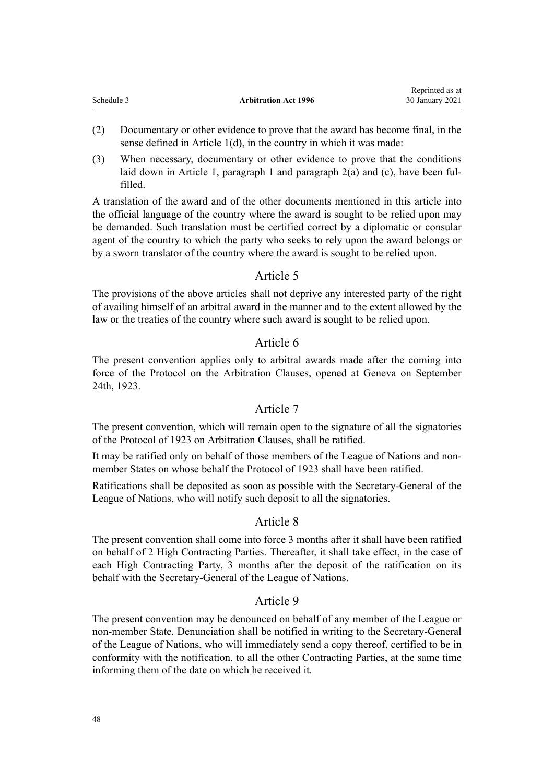|            |                             | Reprinted as at |
|------------|-----------------------------|-----------------|
| Schedule 3 | <b>Arbitration Act 1996</b> | 30 January 2021 |

- (2) Documentary or other evidence to prove that the award has become final, in the sense defined in Article 1(d), in the country in which it was made:
- (3) When necessary, documentary or other evidence to prove that the conditions laid down in Article 1, paragraph 1 and paragraph 2(a) and (c), have been fulfilled.

A translation of the award and of the other documents mentioned in this article into the official language of the country where the award is sought to be relied upon may be demanded. Such translation must be certified correct by a diplomatic or consular agent of the country to which the party who seeks to rely upon the award belongs or by a sworn translator of the country where the award is sought to be relied upon.

# Article 5

The provisions of the above articles shall not deprive any interested party of the right of availing himself of an arbitral award in the manner and to the extent allowed by the law or the treaties of the country where such award is sought to be relied upon.

# Article 6

The present convention applies only to arbitral awards made after the coming into force of the Protocol on the Arbitration Clauses, opened at Geneva on September 24th, 1923.

# Article 7

The present convention, which will remain open to the signature of all the signatories of the Protocol of 1923 on Arbitration Clauses, shall be ratified.

It may be ratified only on behalf of those members of the League of Nations and nonmember States on whose behalf the Protocol of 1923 shall have been ratified.

Ratifications shall be deposited as soon as possible with the Secretary-General of the League of Nations, who will notify such deposit to all the signatories.

# Article 8

The present convention shall come into force 3 months after it shall have been ratified on behalf of 2 High Contracting Parties. Thereafter, it shall take effect, in the case of each High Contracting Party, 3 months after the deposit of the ratification on its behalf with the Secretary-General of the League of Nations.

## Article 9

The present convention may be denounced on behalf of any member of the League or non-member State. Denunciation shall be notified in writing to the Secretary-General of the League of Nations, who will immediately send a copy thereof, certified to be in conformity with the notification, to all the other Contracting Parties, at the same time informing them of the date on which he received it.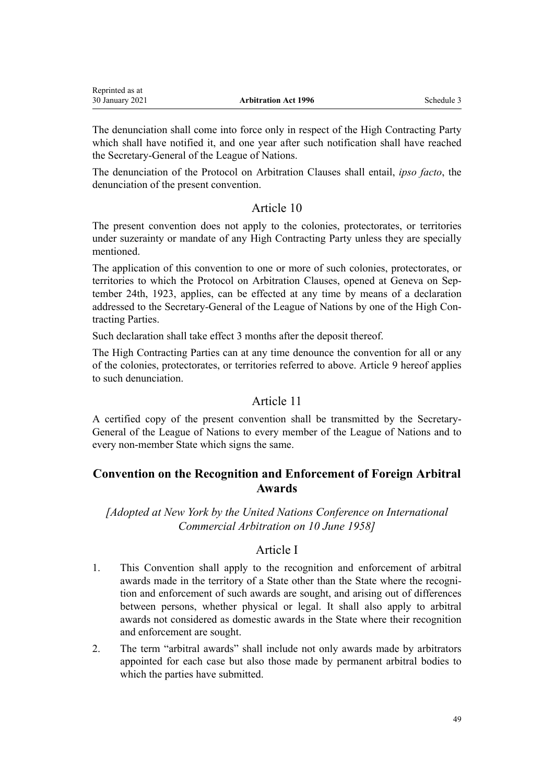| Reprinted as at |                             |            |
|-----------------|-----------------------------|------------|
| 30 January 2021 | <b>Arbitration Act 1996</b> | Schedule 3 |

The denunciation shall come into force only in respect of the High Contracting Party which shall have notified it, and one year after such notification shall have reached the Secretary-General of the League of Nations.

The denunciation of the Protocol on Arbitration Clauses shall entail, *ipso facto*, the denunciation of the present convention.

# Article 10

The present convention does not apply to the colonies, protectorates, or territories under suzerainty or mandate of any High Contracting Party unless they are specially mentioned.

The application of this convention to one or more of such colonies, protectorates, or territories to which the Protocol on Arbitration Clauses, opened at Geneva on September 24th, 1923, applies, can be effected at any time by means of a declaration addressed to the Secretary-General of the League of Nations by one of the High Contracting Parties.

Such declaration shall take effect 3 months after the deposit thereof.

The High Contracting Parties can at any time denounce the convention for all or any of the colonies, protectorates, or territories referred to above. Article 9 hereof applies to such denunciation.

# Article 11

A certified copy of the present convention shall be transmitted by the Secretary-General of the League of Nations to every member of the League of Nations and to every non-member State which signs the same.

# **Convention on the Recognition and Enforcement of Foreign Arbitral Awards**

*[Adopted at New York by the United Nations Conference on International Commercial Arbitration on 10 June 1958]*

# Article I

- 1. This Convention shall apply to the recognition and enforcement of arbitral awards made in the territory of a State other than the State where the recognition and enforcement of such awards are sought, and arising out of differences between persons, whether physical or legal. It shall also apply to arbitral awards not considered as domestic awards in the State where their recognition and enforcement are sought.
- 2. The term "arbitral awards" shall include not only awards made by arbitrators appointed for each case but also those made by permanent arbitral bodies to which the parties have submitted.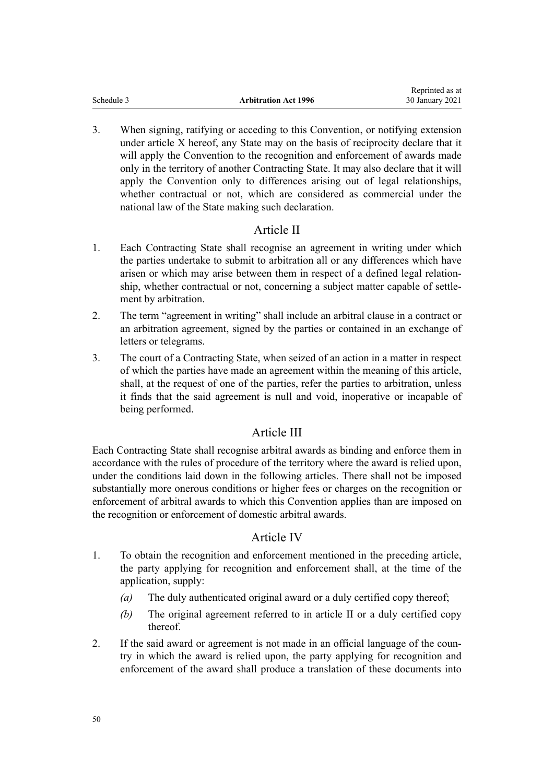| Schedule 3 |  |
|------------|--|
|            |  |

3. When signing, ratifying or acceding to this Convention, or notifying extension under article X hereof, any State may on the basis of reciprocity declare that it will apply the Convention to the recognition and enforcement of awards made only in the territory of another Contracting State. It may also declare that it will apply the Convention only to differences arising out of legal relationships, whether contractual or not, which are considered as commercial under the national law of the State making such declaration.

# Article II

- 1. Each Contracting State shall recognise an agreement in writing under which the parties undertake to submit to arbitration all or any differences which have arisen or which may arise between them in respect of a defined legal relationship, whether contractual or not, concerning a subject matter capable of settlement by arbitration.
- 2. The term "agreement in writing" shall include an arbitral clause in a contract or an arbitration agreement, signed by the parties or contained in an exchange of letters or telegrams.
- 3. The court of a Contracting State, when seized of an action in a matter in respect of which the parties have made an agreement within the meaning of this article, shall, at the request of one of the parties, refer the parties to arbitration, unless it finds that the said agreement is null and void, inoperative or incapable of being performed.

# Article III

Each Contracting State shall recognise arbitral awards as binding and enforce them in accordance with the rules of procedure of the territory where the award is relied upon, under the conditions laid down in the following articles. There shall not be imposed substantially more onerous conditions or higher fees or charges on the recognition or enforcement of arbitral awards to which this Convention applies than are imposed on the recognition or enforcement of domestic arbitral awards.

# Article IV

- 1. To obtain the recognition and enforcement mentioned in the preceding article, the party applying for recognition and enforcement shall, at the time of the application, supply:
	- *(a)* The duly authenticated original award or a duly certified copy thereof;
	- *(b)* The original agreement referred to in article II or a duly certified copy thereof.
- 2. If the said award or agreement is not made in an official language of the country in which the award is relied upon, the party applying for recognition and enforcement of the award shall produce a translation of these documents into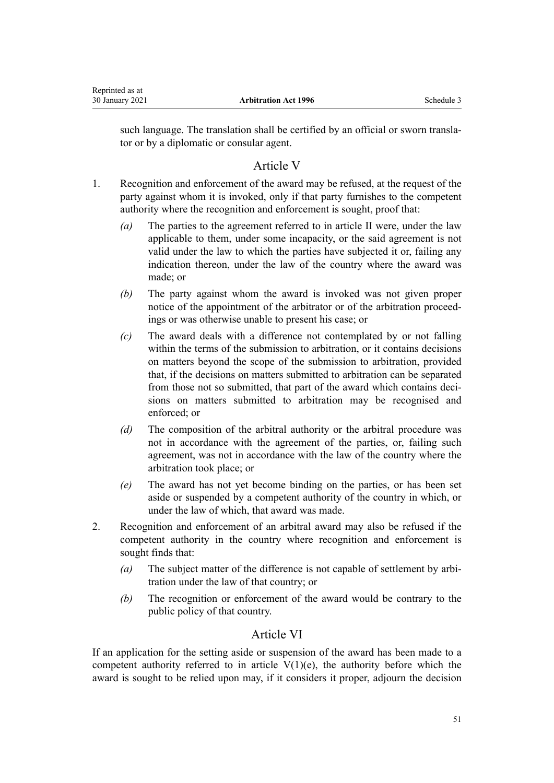such language. The translation shall be certified by an official or sworn translator or by a diplomatic or consular agent.

# Article V

- 1. Recognition and enforcement of the award may be refused, at the request of the party against whom it is invoked, only if that party furnishes to the competent authority where the recognition and enforcement is sought, proof that:
	- *(a)* The parties to the agreement referred to in article II were, under the law applicable to them, under some incapacity, or the said agreement is not valid under the law to which the parties have subjected it or, failing any indication thereon, under the law of the country where the award was made; or
	- *(b)* The party against whom the award is invoked was not given proper notice of the appointment of the arbitrator or of the arbitration proceedings or was otherwise unable to present his case; or
	- *(c)* The award deals with a difference not contemplated by or not falling within the terms of the submission to arbitration, or it contains decisions on matters beyond the scope of the submission to arbitration, provided that, if the decisions on matters submitted to arbitration can be separated from those not so submitted, that part of the award which contains decisions on matters submitted to arbitration may be recognised and enforced; or
	- *(d)* The composition of the arbitral authority or the arbitral procedure was not in accordance with the agreement of the parties, or, failing such agreement, was not in accordance with the law of the country where the arbitration took place; or
	- *(e)* The award has not yet become binding on the parties, or has been set aside or suspended by a competent authority of the country in which, or under the law of which, that award was made.
- 2. Recognition and enforcement of an arbitral award may also be refused if the competent authority in the country where recognition and enforcement is sought finds that:
	- *(a)* The subject matter of the difference is not capable of settlement by arbitration under the law of that country; or
	- *(b)* The recognition or enforcement of the award would be contrary to the public policy of that country.

# Article VI

If an application for the setting aside or suspension of the award has been made to a competent authority referred to in article  $V(1)(e)$ , the authority before which the award is sought to be relied upon may, if it considers it proper, adjourn the decision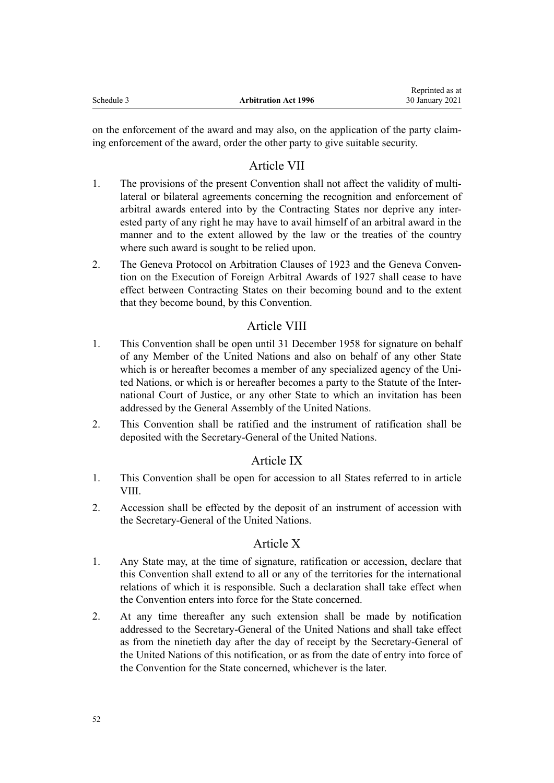| Schedule 3 | <b>Arbitration Act 1996</b> | Reprinted as at<br>30 January 2021 |
|------------|-----------------------------|------------------------------------|
|            |                             |                                    |

on the enforcement of the award and may also, on the application of the party claiming enforcement of the award, order the other party to give suitable security.

# Article VII

- 1. The provisions of the present Convention shall not affect the validity of multilateral or bilateral agreements concerning the recognition and enforcement of arbitral awards entered into by the Contracting States nor deprive any interested party of any right he may have to avail himself of an arbitral award in the manner and to the extent allowed by the law or the treaties of the country where such award is sought to be relied upon.
- 2. The Geneva Protocol on Arbitration Clauses of 1923 and the Geneva Convention on the Execution of Foreign Arbitral Awards of 1927 shall cease to have effect between Contracting States on their becoming bound and to the extent that they become bound, by this Convention.

# Article VIII

- 1. This Convention shall be open until 31 December 1958 for signature on behalf of any Member of the United Nations and also on behalf of any other State which is or hereafter becomes a member of any specialized agency of the United Nations, or which is or hereafter becomes a party to the Statute of the International Court of Justice, or any other State to which an invitation has been addressed by the General Assembly of the United Nations.
- 2. This Convention shall be ratified and the instrument of ratification shall be deposited with the Secretary-General of the United Nations.

# Article IX

- 1. This Convention shall be open for accession to all States referred to in article VIII.
- 2. Accession shall be effected by the deposit of an instrument of accession with the Secretary-General of the United Nations.

# Article X

- 1. Any State may, at the time of signature, ratification or accession, declare that this Convention shall extend to all or any of the territories for the international relations of which it is responsible. Such a declaration shall take effect when the Convention enters into force for the State concerned.
- 2. At any time thereafter any such extension shall be made by notification addressed to the Secretary-General of the United Nations and shall take effect as from the ninetieth day after the day of receipt by the Secretary-General of the United Nations of this notification, or as from the date of entry into force of the Convention for the State concerned, whichever is the later.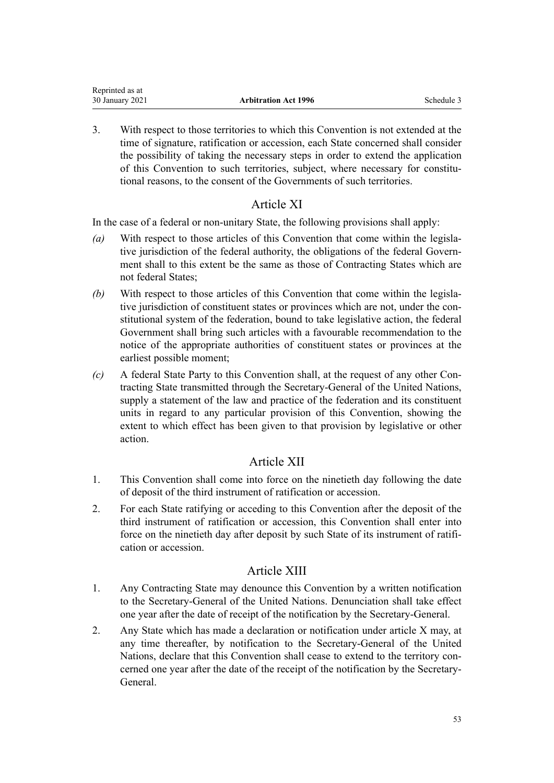| Reprinted as at |                             |            |
|-----------------|-----------------------------|------------|
| 30 January 2021 | <b>Arbitration Act 1996</b> | Schedule 3 |
|                 |                             |            |

3. With respect to those territories to which this Convention is not extended at the time of signature, ratification or accession, each State concerned shall consider the possibility of taking the necessary steps in order to extend the application of this Convention to such territories, subject, where necessary for constitutional reasons, to the consent of the Governments of such territories.

# Article XI

In the case of a federal or non-unitary State, the following provisions shall apply:

- *(a)* With respect to those articles of this Convention that come within the legislative jurisdiction of the federal authority, the obligations of the federal Government shall to this extent be the same as those of Contracting States which are not federal States;
- *(b)* With respect to those articles of this Convention that come within the legislative jurisdiction of constituent states or provinces which are not, under the constitutional system of the federation, bound to take legislative action, the federal Government shall bring such articles with a favourable recommendation to the notice of the appropriate authorities of constituent states or provinces at the earliest possible moment;
- *(c)* A federal State Party to this Convention shall, at the request of any other Contracting State transmitted through the Secretary-General of the United Nations, supply a statement of the law and practice of the federation and its constituent units in regard to any particular provision of this Convention, showing the extent to which effect has been given to that provision by legislative or other action.

# Article XII

- 1. This Convention shall come into force on the ninetieth day following the date of deposit of the third instrument of ratification or accession.
- 2. For each State ratifying or acceding to this Convention after the deposit of the third instrument of ratification or accession, this Convention shall enter into force on the ninetieth day after deposit by such State of its instrument of ratification or accession.

# Article XIII

- 1. Any Contracting State may denounce this Convention by a written notification to the Secretary-General of the United Nations. Denunciation shall take effect one year after the date of receipt of the notification by the Secretary-General.
- 2. Any State which has made a declaration or notification under article X may, at any time thereafter, by notification to the Secretary-General of the United Nations, declare that this Convention shall cease to extend to the territory concerned one year after the date of the receipt of the notification by the Secretary-General.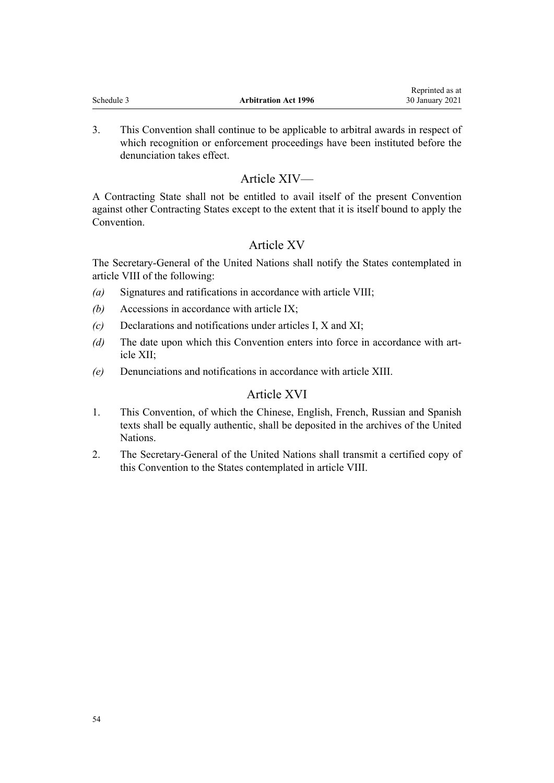|            |                             | Reprinted as at |
|------------|-----------------------------|-----------------|
| Schedule 3 | <b>Arbitration Act 1996</b> | 30 January 2021 |

3. This Convention shall continue to be applicable to arbitral awards in respect of which recognition or enforcement proceedings have been instituted before the denunciation takes effect.

# Article XIV—

A Contracting State shall not be entitled to avail itself of the present Convention against other Contracting States except to the extent that it is itself bound to apply the **Convention** 

# Article XV

The Secretary-General of the United Nations shall notify the States contemplated in article VIII of the following:

- *(a)* Signatures and ratifications in accordance with article VIII;
- *(b)* Accessions in accordance with article IX;
- *(c)* Declarations and notifications under articles I, X and XI;
- *(d)* The date upon which this Convention enters into force in accordance with article XII;
- *(e)* Denunciations and notifications in accordance with article XIII.

# Article XVI

- 1. This Convention, of which the Chinese, English, French, Russian and Spanish texts shall be equally authentic, shall be deposited in the archives of the United **Nations**
- 2. The Secretary-General of the United Nations shall transmit a certified copy of this Convention to the States contemplated in article VIII.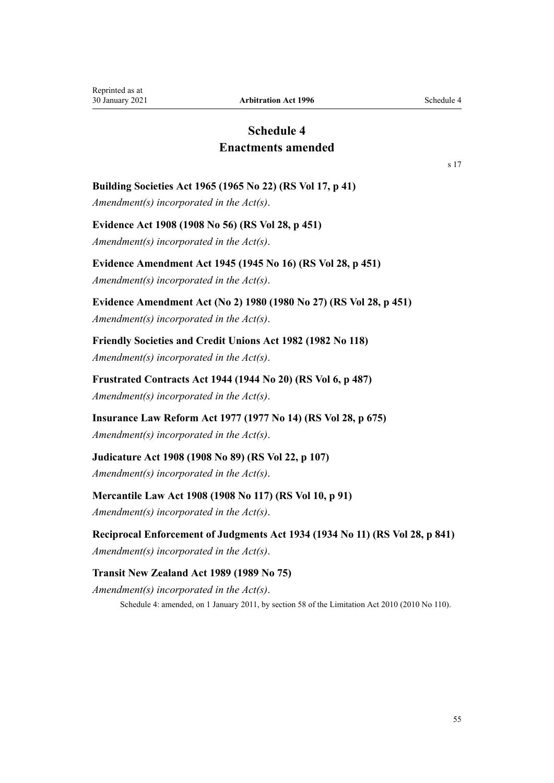# **Schedule 4 Enactments amended**

[s 17](#page-11-0)

## <span id="page-54-0"></span>**Building Societies Act 1965 (1965 No 22) (RS Vol 17, p 41)**

*Amendment(s) incorporated in the [Act\(s\)](http://legislation.govt.nz/pdflink.aspx?id=DLM372304)*.

## **Evidence Act 1908 (1908 No 56) (RS Vol 28, p 451)**

*Amendment(s) incorporated in the [Act\(s\)](http://legislation.govt.nz/pdflink.aspx?id=DLM142539)*.

**Evidence Amendment Act 1945 (1945 No 16) (RS Vol 28, p 451)**

*Amendment(s) incorporated in the [Act\(s\)](http://legislation.govt.nz/pdflink.aspx?id=DLM237884)*.

**Evidence Amendment Act (No 2) 1980 (1980 No 27) (RS Vol 28, p 451)** *Amendment(s) incorporated in the Act(s)*.

# **Friendly Societies and Credit Unions Act 1982 (1982 No 118)**

*Amendment(s) incorporated in the Act(s)*.

**Frustrated Contracts Act 1944 (1944 No 20) (RS Vol 6, p 487)** *Amendment(s) incorporated in the [Act\(s\)](http://legislation.govt.nz/pdflink.aspx?id=DLM236930)*.

**Insurance Law Reform Act 1977 (1977 No 14) (RS Vol 28, p 675)** *Amendment(s) incorporated in the [Act\(s\)](http://legislation.govt.nz/pdflink.aspx?id=DLM442553)*.

# **Judicature Act 1908 (1908 No 89) (RS Vol 22, p 107)**

*Amendment(s) incorporated in the [Act\(s\)](http://legislation.govt.nz/pdflink.aspx?id=DLM146070)*.

# **Mercantile Law Act 1908 (1908 No 117) (RS Vol 10, p 91)**

*Amendment(s) incorporated in the [Act\(s\)](http://legislation.govt.nz/pdflink.aspx?id=DLM172433)*.

**Reciprocal Enforcement of Judgments Act 1934 (1934 No 11) (RS Vol 28, p 841)** *Amendment(s) incorporated in the [Act\(s\)](http://legislation.govt.nz/pdflink.aspx?id=DLM216438)*.

**Transit New Zealand Act 1989 (1989 No 75)** *Amendment(s) incorporated in the [Act\(s\)](http://legislation.govt.nz/pdflink.aspx?id=DLM174880)*. Schedule 4: amended, on 1 January 2011, by [section 58](http://legislation.govt.nz/pdflink.aspx?id=DLM2033287) of the Limitation Act 2010 (2010 No 110).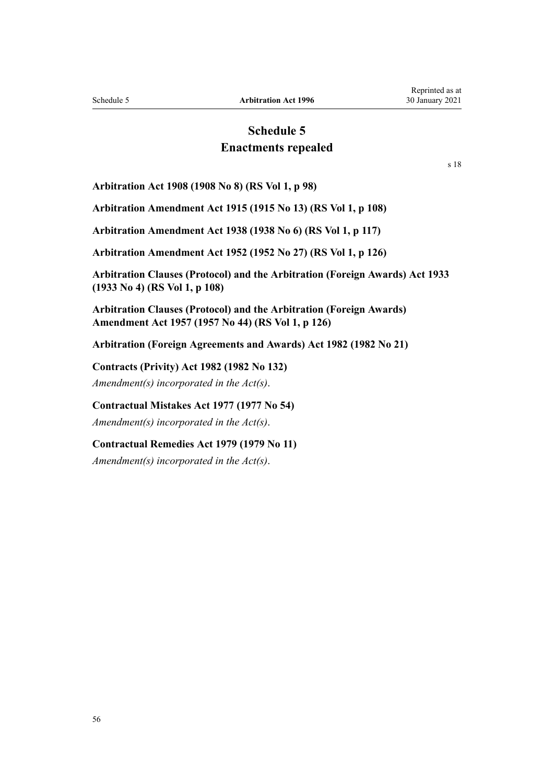# **Schedule 5 Enactments repealed**

[s 18](#page-11-0)

<span id="page-55-0"></span>**Arbitration Act 1908 (1908 No 8) (RS Vol 1, p 98)**

**Arbitration Amendment Act 1915 (1915 No 13) (RS Vol 1, p 108)**

**Arbitration Amendment Act 1938 (1938 No 6) (RS Vol 1, p 117)**

**Arbitration Amendment Act 1952 (1952 No 27) (RS Vol 1, p 126)**

**Arbitration Clauses (Protocol) and the Arbitration (Foreign Awards) Act 1933 (1933 No 4) (RS Vol 1, p 108)**

**Arbitration Clauses (Protocol) and the Arbitration (Foreign Awards) Amendment Act 1957 (1957 No 44) (RS Vol 1, p 126)**

**Arbitration (Foreign Agreements and Awards) Act 1982 (1982 No 21)**

**Contracts (Privity) Act 1982 (1982 No 132)** *Amendment(s) incorporated in the [Act\(s\)](http://legislation.govt.nz/pdflink.aspx?id=DLM64708)*.

**Contractual Mistakes Act 1977 (1977 No 54)** *Amendment(s) incorporated in the [Act\(s\)](http://legislation.govt.nz/pdflink.aspx?id=DLM443667)*.

**Contractual Remedies Act 1979 (1979 No 11)**

*Amendment(s) incorporated in the [Act\(s\)](http://legislation.govt.nz/pdflink.aspx?id=DLM32004)*.